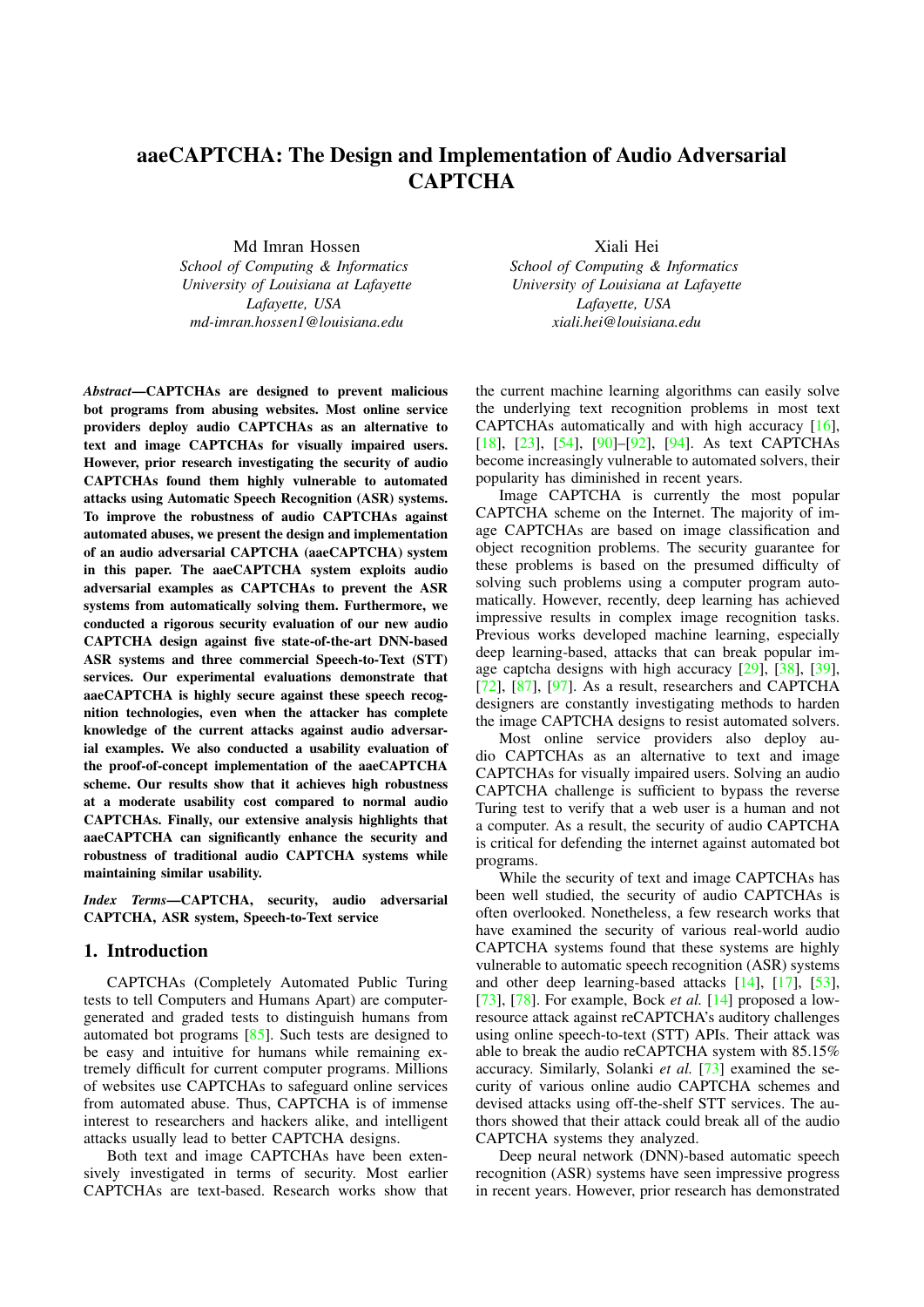# aaeCAPTCHA: The Design and Implementation of Audio Adversarial **CAPTCHA**

Md Imran Hossen

*School of Computing & Informatics University of Louisiana at Lafayette Lafayette, USA md-imran.hossen1@louisiana.edu*

*Abstract*—CAPTCHAs are designed to prevent malicious bot programs from abusing websites. Most online service providers deploy audio CAPTCHAs as an alternative to text and image CAPTCHAs for visually impaired users. However, prior research investigating the security of audio CAPTCHAs found them highly vulnerable to automated attacks using Automatic Speech Recognition (ASR) systems. To improve the robustness of audio CAPTCHAs against automated abuses, we present the design and implementation of an audio adversarial CAPTCHA (aaeCAPTCHA) system in this paper. The aaeCAPTCHA system exploits audio adversarial examples as CAPTCHAs to prevent the ASR systems from automatically solving them. Furthermore, we conducted a rigorous security evaluation of our new audio CAPTCHA design against five state-of-the-art DNN-based ASR systems and three commercial Speech-to-Text (STT) services. Our experimental evaluations demonstrate that aaeCAPTCHA is highly secure against these speech recognition technologies, even when the attacker has complete knowledge of the current attacks against audio adversarial examples. We also conducted a usability evaluation of the proof-of-concept implementation of the aaeCAPTCHA scheme. Our results show that it achieves high robustness at a moderate usability cost compared to normal audio CAPTCHAs. Finally, our extensive analysis highlights that aaeCAPTCHA can significantly enhance the security and robustness of traditional audio CAPTCHA systems while maintaining similar usability.

*Index Terms*—CAPTCHA, security, audio adversarial CAPTCHA, ASR system, Speech-to-Text service

### 1. Introduction

CAPTCHAs (Completely Automated Public Turing tests to tell Computers and Humans Apart) are computergenerated and graded tests to distinguish humans from automated bot programs [\[85\]](#page-16-0). Such tests are designed to be easy and intuitive for humans while remaining extremely difficult for current computer programs. Millions of websites use CAPTCHAs to safeguard online services from automated abuse. Thus, CAPTCHA is of immense interest to researchers and hackers alike, and intelligent attacks usually lead to better CAPTCHA designs.

Both text and image CAPTCHAs have been extensively investigated in terms of security. Most earlier CAPTCHAs are text-based. Research works show that

Xiali Hei *School of Computing & Informatics University of Louisiana at Lafayette Lafayette, USA xiali.hei@louisiana.edu*

the current machine learning algorithms can easily solve the underlying text recognition problems in most text CAPTCHAs automatically and with high accuracy [\[16\]](#page-14-0), [\[18\]](#page-14-1), [\[23\]](#page-14-2), [\[54\]](#page-15-0), [\[90\]](#page-16-1)–[\[92\]](#page-16-2), [\[94\]](#page-16-3). As text CAPTCHAs become increasingly vulnerable to automated solvers, their popularity has diminished in recent years.

Image CAPTCHA is currently the most popular CAPTCHA scheme on the Internet. The majority of image CAPTCHAs are based on image classification and object recognition problems. The security guarantee for these problems is based on the presumed difficulty of solving such problems using a computer program automatically. However, recently, deep learning has achieved impressive results in complex image recognition tasks. Previous works developed machine learning, especially deep learning-based, attacks that can break popular image captcha designs with high accuracy [\[29\]](#page-14-3), [\[38\]](#page-15-1), [\[39\]](#page-15-2),  $[72]$ ,  $[87]$ ,  $[97]$ . As a result, researchers and CAPTCHA designers are constantly investigating methods to harden the image CAPTCHA designs to resist automated solvers.

Most online service providers also deploy audio CAPTCHAs as an alternative to text and image CAPTCHAs for visually impaired users. Solving an audio CAPTCHA challenge is sufficient to bypass the reverse Turing test to verify that a web user is a human and not a computer. As a result, the security of audio CAPTCHA is critical for defending the internet against automated bot programs.

While the security of text and image CAPTCHAs has been well studied, the security of audio CAPTCHAs is often overlooked. Nonetheless, a few research works that have examined the security of various real-world audio CAPTCHA systems found that these systems are highly vulnerable to automatic speech recognition (ASR) systems and other deep learning-based attacks [\[14\]](#page-14-4), [\[17\]](#page-14-5), [\[53\]](#page-15-3), [\[73\]](#page-16-7), [\[78\]](#page-16-8). For example, Bock *et al.* [\[14\]](#page-14-4) proposed a lowresource attack against reCAPTCHA's auditory challenges using online speech-to-text (STT) APIs. Their attack was able to break the audio reCAPTCHA system with 85.15% accuracy. Similarly, Solanki *et al.* [\[73\]](#page-16-7) examined the security of various online audio CAPTCHA schemes and devised attacks using off-the-shelf STT services. The authors showed that their attack could break all of the audio CAPTCHA systems they analyzed.

Deep neural network (DNN)-based automatic speech recognition (ASR) systems have seen impressive progress in recent years. However, prior research has demonstrated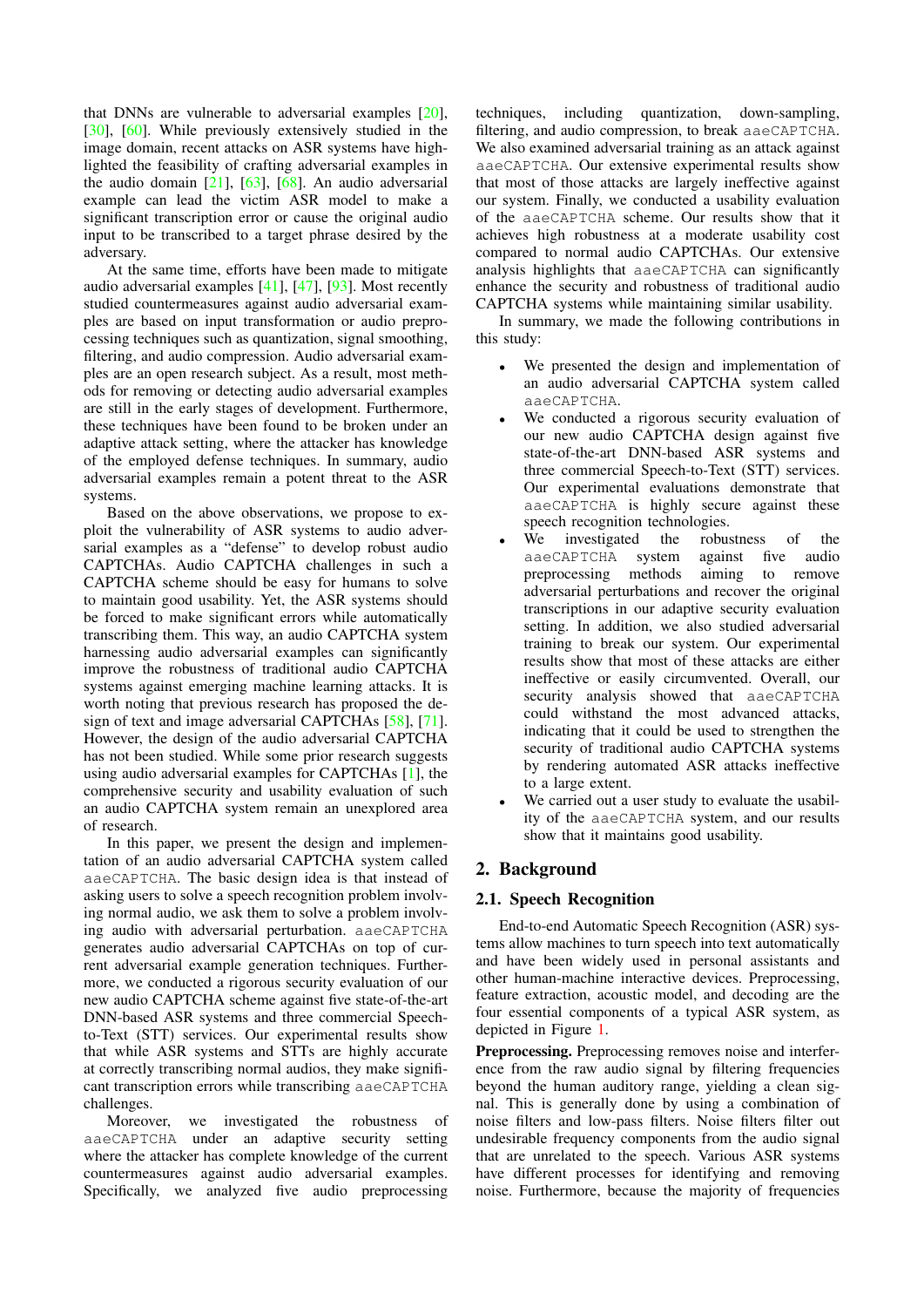that DNNs are vulnerable to adversarial examples [\[20\]](#page-14-6), [\[30\]](#page-14-7). [\[60\]](#page-15-4). While previously extensively studied in the image domain, recent attacks on ASR systems have highlighted the feasibility of crafting adversarial examples in the audio domain  $[21]$ ,  $[63]$ ,  $[68]$ . An audio adversarial example can lead the victim ASR model to make a significant transcription error or cause the original audio input to be transcribed to a target phrase desired by the adversary.

At the same time, efforts have been made to mitigate audio adversarial examples [\[41\]](#page-15-7), [\[47\]](#page-15-8), [\[93\]](#page-16-9). Most recently studied countermeasures against audio adversarial examples are based on input transformation or audio preprocessing techniques such as quantization, signal smoothing, filtering, and audio compression. Audio adversarial examples are an open research subject. As a result, most methods for removing or detecting audio adversarial examples are still in the early stages of development. Furthermore, these techniques have been found to be broken under an adaptive attack setting, where the attacker has knowledge of the employed defense techniques. In summary, audio adversarial examples remain a potent threat to the ASR systems.

Based on the above observations, we propose to exploit the vulnerability of ASR systems to audio adversarial examples as a "defense" to develop robust audio CAPTCHAs. Audio CAPTCHA challenges in such a CAPTCHA scheme should be easy for humans to solve to maintain good usability. Yet, the ASR systems should be forced to make significant errors while automatically transcribing them. This way, an audio CAPTCHA system harnessing audio adversarial examples can significantly improve the robustness of traditional audio CAPTCHA systems against emerging machine learning attacks. It is worth noting that previous research has proposed the design of text and image adversarial CAPTCHAs [\[58\]](#page-15-9), [\[71\]](#page-15-10). However, the design of the audio adversarial CAPTCHA has not been studied. While some prior research suggests using audio adversarial examples for CAPTCHAs [\[1\]](#page-14-9), the comprehensive security and usability evaluation of such an audio CAPTCHA system remain an unexplored area of research.

In this paper, we present the design and implementation of an audio adversarial CAPTCHA system called aaeCAPTCHA. The basic design idea is that instead of asking users to solve a speech recognition problem involving normal audio, we ask them to solve a problem involving audio with adversarial perturbation. aaeCAPTCHA generates audio adversarial CAPTCHAs on top of current adversarial example generation techniques. Furthermore, we conducted a rigorous security evaluation of our new audio CAPTCHA scheme against five state-of-the-art DNN-based ASR systems and three commercial Speechto-Text (STT) services. Our experimental results show that while ASR systems and STTs are highly accurate at correctly transcribing normal audios, they make significant transcription errors while transcribing aaeCAPTCHA challenges.

Moreover, we investigated the robustness of aaeCAPTCHA under an adaptive security setting where the attacker has complete knowledge of the current countermeasures against audio adversarial examples. Specifically, we analyzed five audio preprocessing techniques, including quantization, down-sampling, filtering, and audio compression, to break aaeCAPTCHA. We also examined adversarial training as an attack against aaeCAPTCHA. Our extensive experimental results show that most of those attacks are largely ineffective against our system. Finally, we conducted a usability evaluation of the aaeCAPTCHA scheme. Our results show that it achieves high robustness at a moderate usability cost compared to normal audio CAPTCHAs. Our extensive analysis highlights that aaeCAPTCHA can significantly enhance the security and robustness of traditional audio CAPTCHA systems while maintaining similar usability.

In summary, we made the following contributions in this study:

- We presented the design and implementation of an audio adversarial CAPTCHA system called aaeCAPTCHA.
- We conducted a rigorous security evaluation of our new audio CAPTCHA design against five state-of-the-art DNN-based ASR systems and three commercial Speech-to-Text (STT) services. Our experimental evaluations demonstrate that aaeCAPTCHA is highly secure against these speech recognition technologies.
- We investigated the robustness of the aaeCAPTCHA system against five audio preprocessing methods aiming to remove adversarial perturbations and recover the original transcriptions in our adaptive security evaluation setting. In addition, we also studied adversarial training to break our system. Our experimental results show that most of these attacks are either ineffective or easily circumvented. Overall, our security analysis showed that aaeCAPTCHA could withstand the most advanced attacks, indicating that it could be used to strengthen the security of traditional audio CAPTCHA systems by rendering automated ASR attacks ineffective to a large extent.
- We carried out a user study to evaluate the usability of the aaeCAPTCHA system, and our results show that it maintains good usability.

# 2. Background

### 2.1. Speech Recognition

End-to-end Automatic Speech Recognition (ASR) systems allow machines to turn speech into text automatically and have been widely used in personal assistants and other human-machine interactive devices. Preprocessing, feature extraction, acoustic model, and decoding are the four essential components of a typical ASR system, as depicted in Figure [1.](#page-2-0)

Preprocessing. Preprocessing removes noise and interference from the raw audio signal by filtering frequencies beyond the human auditory range, yielding a clean signal. This is generally done by using a combination of noise filters and low-pass filters. Noise filters filter out undesirable frequency components from the audio signal that are unrelated to the speech. Various ASR systems have different processes for identifying and removing noise. Furthermore, because the majority of frequencies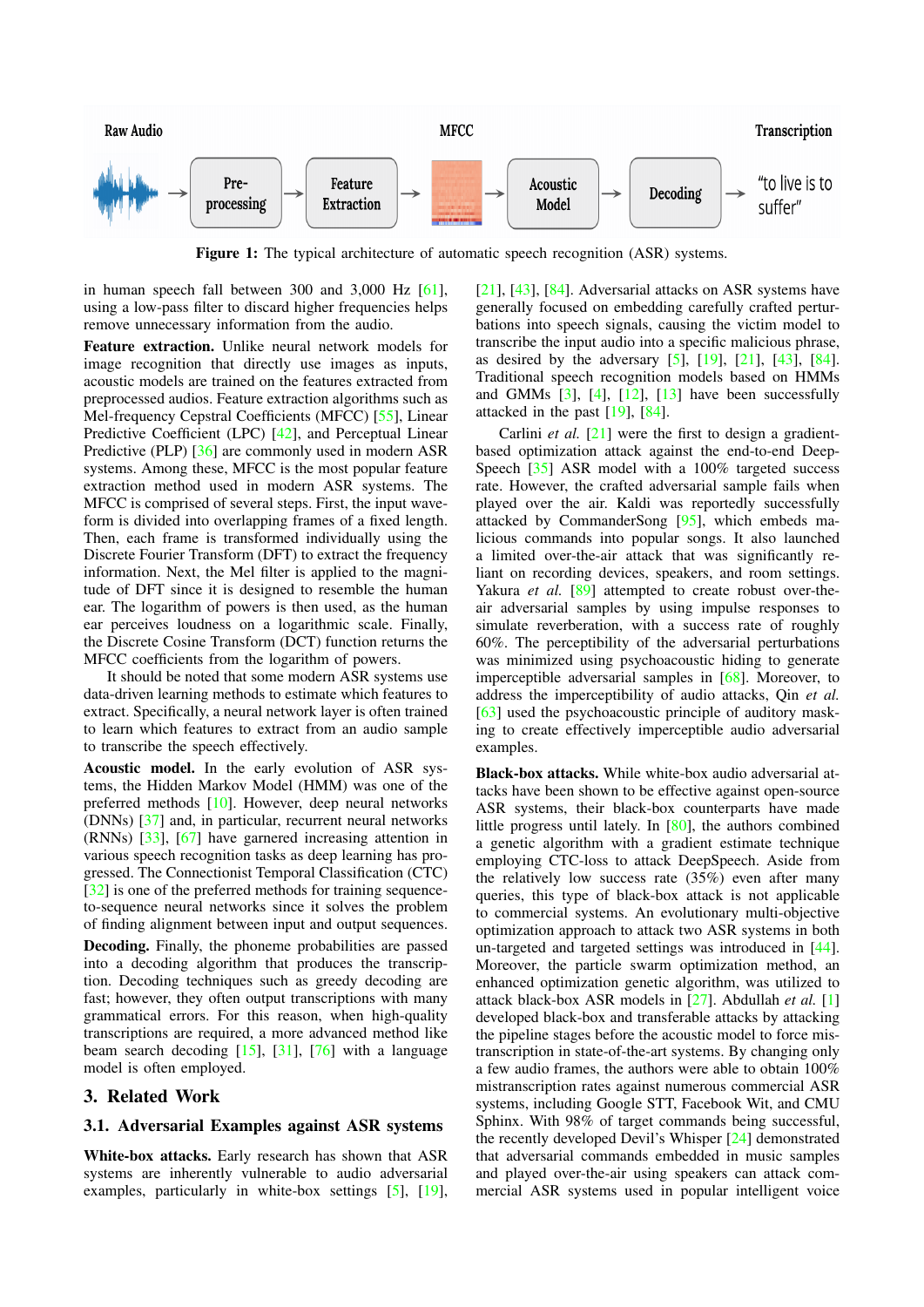<span id="page-2-0"></span>

Figure 1: The typical architecture of automatic speech recognition (ASR) systems.

in human speech fall between 300 and 3,000 Hz [\[61\]](#page-15-11), using a low-pass filter to discard higher frequencies helps remove unnecessary information from the audio.

Feature extraction. Unlike neural network models for image recognition that directly use images as inputs, acoustic models are trained on the features extracted from preprocessed audios. Feature extraction algorithms such as Mel-frequency Cepstral Coefficients (MFCC) [\[55\]](#page-15-12), Linear Predictive Coefficient (LPC) [\[42\]](#page-15-13), and Perceptual Linear Predictive (PLP) [\[36\]](#page-15-14) are commonly used in modern ASR systems. Among these, MFCC is the most popular feature extraction method used in modern ASR systems. The MFCC is comprised of several steps. First, the input waveform is divided into overlapping frames of a fixed length. Then, each frame is transformed individually using the Discrete Fourier Transform (DFT) to extract the frequency information. Next, the Mel filter is applied to the magnitude of DFT since it is designed to resemble the human ear. The logarithm of powers is then used, as the human ear perceives loudness on a logarithmic scale. Finally, the Discrete Cosine Transform (DCT) function returns the MFCC coefficients from the logarithm of powers.

It should be noted that some modern ASR systems use data-driven learning methods to estimate which features to extract. Specifically, a neural network layer is often trained to learn which features to extract from an audio sample to transcribe the speech effectively.

Acoustic model. In the early evolution of ASR systems, the Hidden Markov Model (HMM) was one of the preferred methods [\[10\]](#page-14-10). However, deep neural networks (DNNs) [\[37\]](#page-15-15) and, in particular, recurrent neural networks (RNNs) [\[33\]](#page-14-11), [\[67\]](#page-15-16) have garnered increasing attention in various speech recognition tasks as deep learning has progressed. The Connectionist Temporal Classification (CTC) [\[32\]](#page-14-12) is one of the preferred methods for training sequenceto-sequence neural networks since it solves the problem of finding alignment between input and output sequences. Decoding. Finally, the phoneme probabilities are passed into a decoding algorithm that produces the transcription. Decoding techniques such as greedy decoding are fast; however, they often output transcriptions with many grammatical errors. For this reason, when high-quality transcriptions are required, a more advanced method like beam search decoding  $[15]$ ,  $[31]$ ,  $[76]$  with a language model is often employed.

### 3. Related Work

#### 3.1. Adversarial Examples against ASR systems

White-box attacks. Early research has shown that ASR systems are inherently vulnerable to audio adversarial examples, particularly in white-box settings [\[5\]](#page-14-15), [\[19\]](#page-14-16),

 $[21]$ ,  $[43]$ ,  $[84]$ . Adversarial attacks on ASR systems have generally focused on embedding carefully crafted perturbations into speech signals, causing the victim model to transcribe the input audio into a specific malicious phrase, as desired by the adversary [\[5\]](#page-14-15), [\[19\]](#page-14-16), [\[21\]](#page-14-8), [\[43\]](#page-15-17), [\[84\]](#page-16-11). Traditional speech recognition models based on HMMs and GMMs  $[3]$ ,  $[4]$ ,  $[12]$ ,  $[13]$  have been successfully attacked in the past [\[19\]](#page-14-16), [\[84\]](#page-16-11).

Carlini *et al.* [\[21\]](#page-14-8) were the first to design a gradientbased optimization attack against the end-to-end Deep-Speech [\[35\]](#page-15-18) ASR model with a 100% targeted success rate. However, the crafted adversarial sample fails when played over the air. Kaldi was reportedly successfully attacked by CommanderSong [\[95\]](#page-16-12), which embeds malicious commands into popular songs. It also launched a limited over-the-air attack that was significantly reliant on recording devices, speakers, and room settings. Yakura *et al.* [\[89\]](#page-16-13) attempted to create robust over-theair adversarial samples by using impulse responses to simulate reverberation, with a success rate of roughly 60%. The perceptibility of the adversarial perturbations was minimized using psychoacoustic hiding to generate imperceptible adversarial samples in [\[68\]](#page-15-6). Moreover, to address the imperceptibility of audio attacks, Qin *et al.* [\[63\]](#page-15-5) used the psychoacoustic principle of auditory masking to create effectively imperceptible audio adversarial examples.

Black-box attacks. While white-box audio adversarial attacks have been shown to be effective against open-source ASR systems, their black-box counterparts have made little progress until lately. In [\[80\]](#page-16-14), the authors combined a genetic algorithm with a gradient estimate technique employing CTC-loss to attack DeepSpeech. Aside from the relatively low success rate (35%) even after many queries, this type of black-box attack is not applicable to commercial systems. An evolutionary multi-objective optimization approach to attack two ASR systems in both un-targeted and targeted settings was introduced in [\[44\]](#page-15-19). Moreover, the particle swarm optimization method, an enhanced optimization genetic algorithm, was utilized to attack black-box ASR models in [\[27\]](#page-14-21). Abdullah *et al.* [\[1\]](#page-14-9) developed black-box and transferable attacks by attacking the pipeline stages before the acoustic model to force mistranscription in state-of-the-art systems. By changing only a few audio frames, the authors were able to obtain 100% mistranscription rates against numerous commercial ASR systems, including Google STT, Facebook Wit, and CMU Sphinx. With 98% of target commands being successful, the recently developed Devil's Whisper [\[24\]](#page-14-22) demonstrated that adversarial commands embedded in music samples and played over-the-air using speakers can attack commercial ASR systems used in popular intelligent voice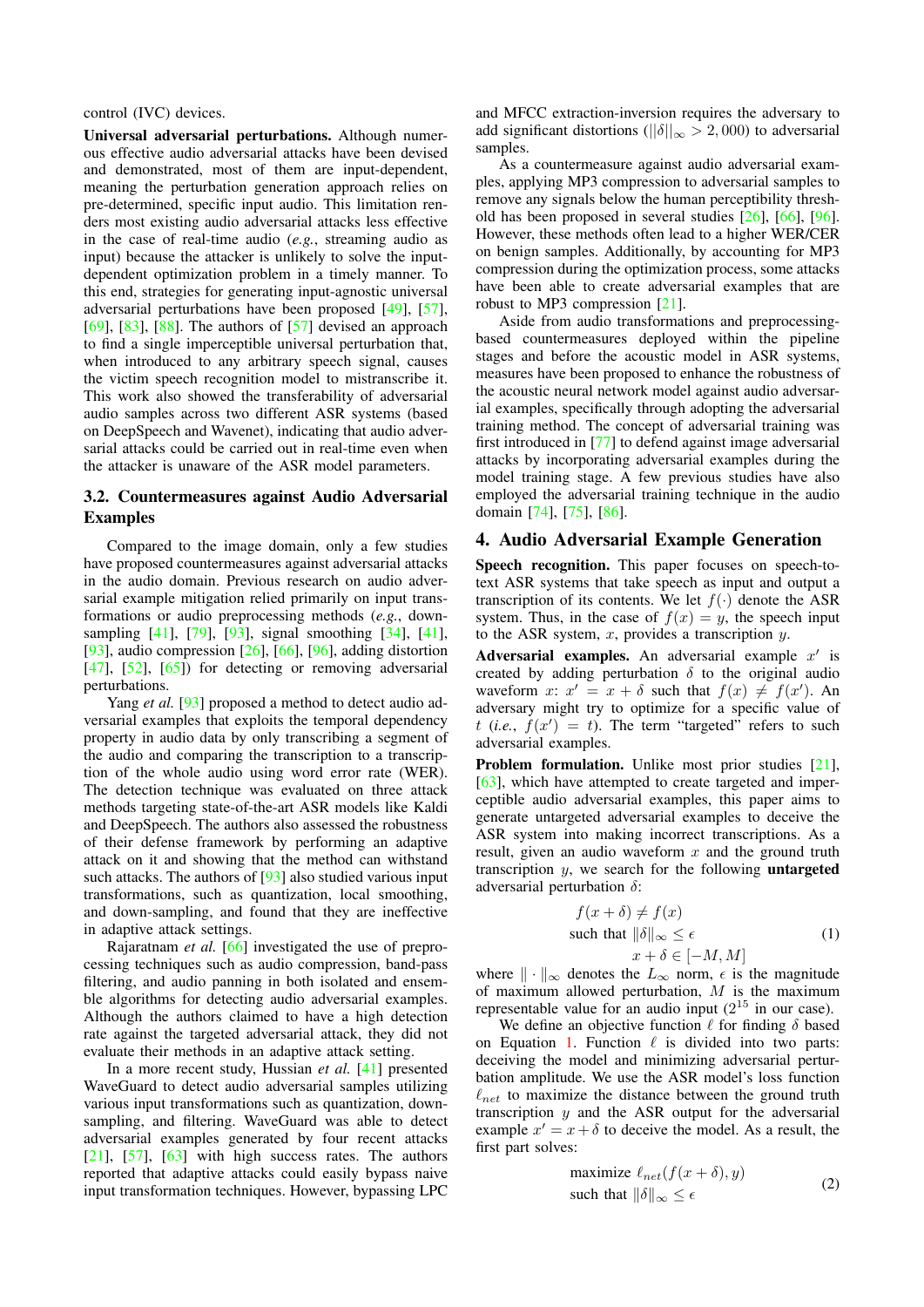control (IVC) devices.

Universal adversarial perturbations. Although numerous effective audio adversarial attacks have been devised and demonstrated, most of them are input-dependent, meaning the perturbation generation approach relies on pre-determined, specific input audio. This limitation renders most existing audio adversarial attacks less effective in the case of real-time audio (*e.g.*, streaming audio as input) because the attacker is unlikely to solve the inputdependent optimization problem in a timely manner. To this end, strategies for generating input-agnostic universal adversarial perturbations have been proposed [\[49\]](#page-15-20), [\[57\]](#page-15-21), [\[69\]](#page-15-22), [\[83\]](#page-16-15), [\[88\]](#page-16-16). The authors of  $[57]$  devised an approach to find a single imperceptible universal perturbation that, when introduced to any arbitrary speech signal, causes the victim speech recognition model to mistranscribe it. This work also showed the transferability of adversarial audio samples across two different ASR systems (based on DeepSpeech and Wavenet), indicating that audio adversarial attacks could be carried out in real-time even when the attacker is unaware of the ASR model parameters.

### 3.2. Countermeasures against Audio Adversarial Examples

Compared to the image domain, only a few studies have proposed countermeasures against adversarial attacks in the audio domain. Previous research on audio adversarial example mitigation relied primarily on input transformations or audio preprocessing methods (*e.g.*, downsampling [\[41\]](#page-15-7), [\[79\]](#page-16-17), [\[93\]](#page-16-9), signal smoothing [\[34\]](#page-14-23), [\[41\]](#page-15-7),  $[93]$ , audio compression  $[26]$ ,  $[66]$ ,  $[96]$ , adding distortion  $[47]$ ,  $[52]$ ,  $[65]$ ) for detecting or removing adversarial perturbations.

Yang *et al.* [\[93\]](#page-16-9) proposed a method to detect audio adversarial examples that exploits the temporal dependency property in audio data by only transcribing a segment of the audio and comparing the transcription to a transcription of the whole audio using word error rate (WER). The detection technique was evaluated on three attack methods targeting state-of-the-art ASR models like Kaldi and DeepSpeech. The authors also assessed the robustness of their defense framework by performing an adaptive attack on it and showing that the method can withstand such attacks. The authors of [\[93\]](#page-16-9) also studied various input transformations, such as quantization, local smoothing, and down-sampling, and found that they are ineffective in adaptive attack settings.

Rajaratnam *et al.* [\[66\]](#page-15-23) investigated the use of preprocessing techniques such as audio compression, band-pass filtering, and audio panning in both isolated and ensemble algorithms for detecting audio adversarial examples. Although the authors claimed to have a high detection rate against the targeted adversarial attack, they did not evaluate their methods in an adaptive attack setting.

In a more recent study, Hussian *et al.* [\[41\]](#page-15-7) presented WaveGuard to detect audio adversarial samples utilizing various input transformations such as quantization, downsampling, and filtering. WaveGuard was able to detect adversarial examples generated by four recent attacks  $[21]$ ,  $[57]$ ,  $[63]$  with high success rates. The authors reported that adaptive attacks could easily bypass naive input transformation techniques. However, bypassing LPC

and MFCC extraction-inversion requires the adversary to add significant distortions ( $||\delta||_{\infty} > 2,000$ ) to adversarial samples.

As a countermeasure against audio adversarial examples, applying MP3 compression to adversarial samples to remove any signals below the human perceptibility threshold has been proposed in several studies [\[26\]](#page-14-24), [\[66\]](#page-15-23), [\[96\]](#page-16-18). However, these methods often lead to a higher WER/CER on benign samples. Additionally, by accounting for MP3 compression during the optimization process, some attacks have been able to create adversarial examples that are robust to MP3 compression [\[21\]](#page-14-8).

Aside from audio transformations and preprocessingbased countermeasures deployed within the pipeline stages and before the acoustic model in ASR systems, measures have been proposed to enhance the robustness of the acoustic neural network model against audio adversarial examples, specifically through adopting the adversarial training method. The concept of adversarial training was first introduced in [\[77\]](#page-16-19) to defend against image adversarial attacks by incorporating adversarial examples during the model training stage. A few previous studies have also employed the adversarial training technique in the audio domain [\[74\]](#page-16-20), [\[75\]](#page-16-21), [\[86\]](#page-16-22).

### 4. Audio Adversarial Example Generation

Speech recognition. This paper focuses on speech-totext ASR systems that take speech as input and output a transcription of its contents. We let  $f(\cdot)$  denote the ASR system. Thus, in the case of  $f(x) = y$ , the speech input to the ASR system,  $x$ , provides a transcription  $y$ .

Adversarial examples. An adversarial example  $x'$  is created by adding perturbation  $\delta$  to the original audio waveform x:  $x' = x + \delta$  such that  $f(x) \neq f(x')$ . An adversary might try to optimize for a specific value of  $t$  (*i.e.*,  $f(x') = t$ ). The term "targeted" refers to such adversarial examples.

Problem formulation. Unlike most prior studies [\[21\]](#page-14-8), [\[63\]](#page-15-5), which have attempted to create targeted and imperceptible audio adversarial examples, this paper aims to generate untargeted adversarial examples to deceive the ASR system into making incorrect transcriptions. As a result, given an audio waveform  $x$  and the ground truth transcription  $y$ , we search for the following **untargeted** adversarial perturbation  $\delta$ :

$$
f(x + \delta) \neq f(x)
$$
  
such that  $\|\delta\|_{\infty} \leq \epsilon$   
 $x + \delta \in [-M, M]$  (1)

<span id="page-3-0"></span>where  $\|\cdot\|_{\infty}$  denotes the  $L_{\infty}$  norm,  $\epsilon$  is the magnitude of maximum allowed perturbation,  $M$  is the maximum representable value for an audio input  $(2^{15}$  in our case).

We define an objective function  $\ell$  for finding  $\delta$  based on Equation [1.](#page-3-0) Function  $\ell$  is divided into two parts: deceiving the model and minimizing adversarial perturbation amplitude. We use the ASR model's loss function  $\ell_{net}$  to maximize the distance between the ground truth transcription  $y$  and the ASR output for the adversarial example  $x' = x + \delta$  to deceive the model. As a result, the first part solves:

$$
\begin{array}{ll}\text{maximize } \ell_{net}(f(x+\delta), y) \\ \text{such that } \|\delta\|_{\infty} \leq \epsilon \end{array} \tag{2}
$$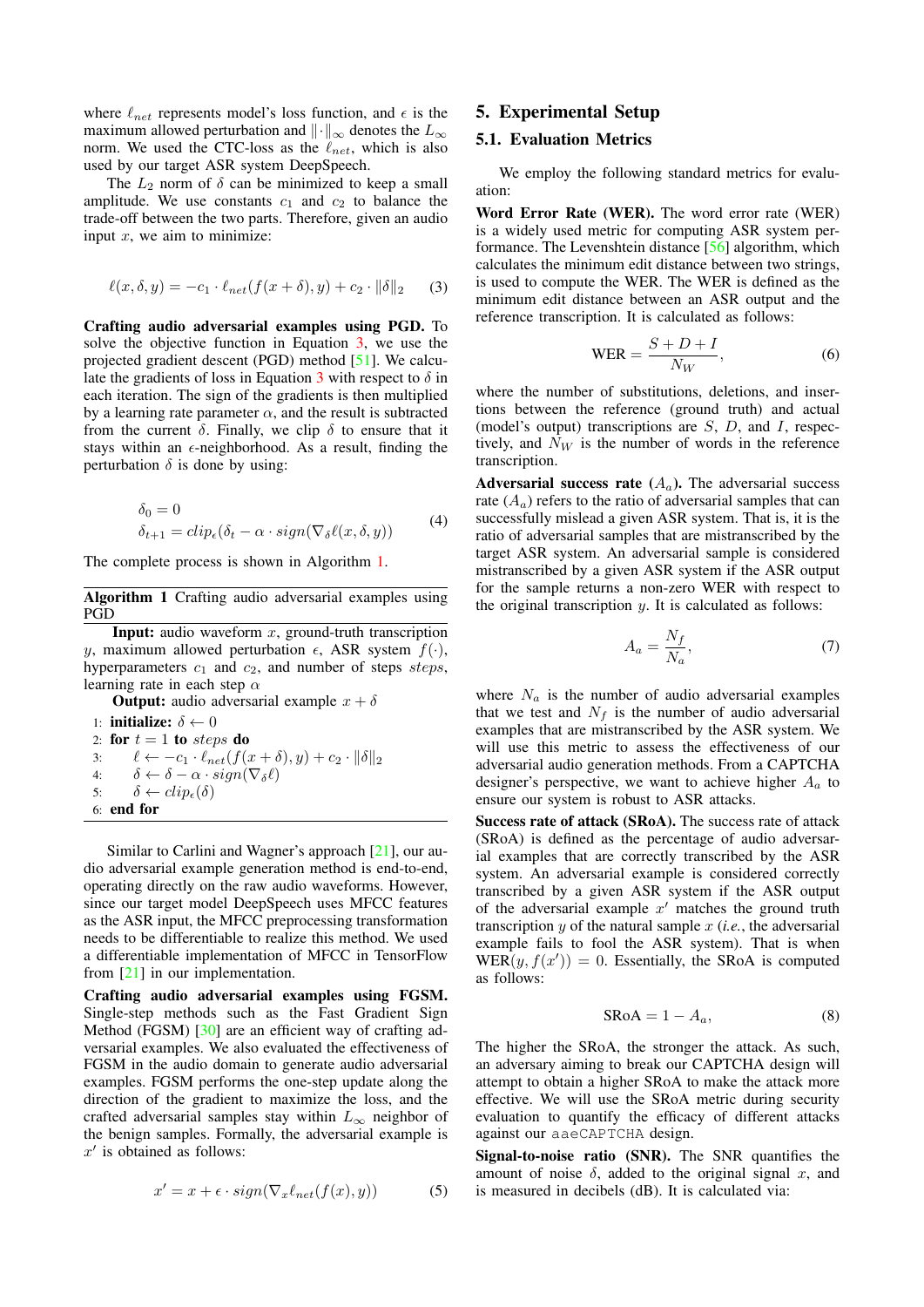where  $\ell_{net}$  represents model's loss function, and  $\epsilon$  is the maximum allowed perturbation and  $\|\cdot\|_{\infty}$  denotes the  $L_{\infty}$ norm. We used the CTC-loss as the  $\ell_{net}$ , which is also used by our target ASR system DeepSpeech.

The  $L_2$  norm of  $\delta$  can be minimized to keep a small amplitude. We use constants  $c_1$  and  $c_2$  to balance the trade-off between the two parts. Therefore, given an audio input  $x$ , we aim to minimize:

<span id="page-4-0"></span>
$$
\ell(x, \delta, y) = -c_1 \cdot \ell_{net}(f(x + \delta), y) + c_2 \cdot \|\delta\|_2 \qquad (3)
$$

Crafting audio adversarial examples using PGD. To solve the objective function in Equation [3,](#page-4-0) we use the projected gradient descent (PGD) method [\[51\]](#page-15-26). We calcu-late the gradients of loss in Equation [3](#page-4-0) with respect to  $\delta$  in each iteration. The sign of the gradients is then multiplied by a learning rate parameter  $\alpha$ , and the result is subtracted from the current  $\delta$ . Finally, we clip  $\delta$  to ensure that it stays within an  $\epsilon$ -neighborhood. As a result, finding the perturbation  $\delta$  is done by using:

$$
\delta_0 = 0
$$
  
\n
$$
\delta_{t+1} = clip_{\epsilon}(\delta_t - \alpha \cdot sign(\nabla_{\delta}\ell(x, \delta, y))
$$
\n(4)

The complete process is shown in Algorithm [1.](#page-4-1)

<span id="page-4-1"></span>Algorithm 1 Crafting audio adversarial examples using PGD

**Input:** audio waveform  $x$ , ground-truth transcription y, maximum allowed perturbation  $\epsilon$ , ASR system  $f(\cdot)$ , hyperparameters  $c_1$  and  $c_2$ , and number of steps steps, learning rate in each step  $\alpha$ 

**Output:** audio adversarial example  $x + \delta$ 

```
1: initialize: \delta \leftarrow 02: for t = 1 to steps do
3: \ell \leftarrow -c_1 \cdot \ell_{net}(f(x + \delta), y) + c_2 \cdot \|\delta\|_24: \delta \leftarrow \delta - \alpha \cdot sign(\nabla_{\delta} \ell)5: \delta \leftarrow clip_{\epsilon}(\delta)6: end for
```
Similar to Carlini and Wagner's approach [\[21\]](#page-14-8), our audio adversarial example generation method is end-to-end, operating directly on the raw audio waveforms. However, since our target model DeepSpeech uses MFCC features as the ASR input, the MFCC preprocessing transformation needs to be differentiable to realize this method. We used a differentiable implementation of MFCC in TensorFlow from [\[21\]](#page-14-8) in our implementation.

Crafting audio adversarial examples using FGSM. Single-step methods such as the Fast Gradient Sign Method (FGSM) [\[30\]](#page-14-7) are an efficient way of crafting adversarial examples. We also evaluated the effectiveness of FGSM in the audio domain to generate audio adversarial examples. FGSM performs the one-step update along the direction of the gradient to maximize the loss, and the crafted adversarial samples stay within  $L_{\infty}$  neighbor of the benign samples. Formally, the adversarial example is  $x'$  is obtained as follows:

$$
x' = x + \epsilon \cdot sign(\nabla_x \ell_{net}(f(x), y))
$$
 (5)

### 5. Experimental Setup

### <span id="page-4-2"></span>5.1. Evaluation Metrics

We employ the following standard metrics for evaluation:

Word Error Rate (WER). The word error rate (WER) is a widely used metric for computing ASR system performance. The Levenshtein distance [\[56\]](#page-15-27) algorithm, which calculates the minimum edit distance between two strings, is used to compute the WER. The WER is defined as the minimum edit distance between an ASR output and the reference transcription. It is calculated as follows:

$$
WER = \frac{S + D + I}{N_W},
$$
\n(6)

where the number of substitutions, deletions, and insertions between the reference (ground truth) and actual (model's output) transcriptions are  $S$ ,  $D$ , and  $I$ , respectively, and  $N_W$  is the number of words in the reference transcription.

Adversarial success rate  $(A_a)$ . The adversarial success rate  $(A_a)$  refers to the ratio of adversarial samples that can successfully mislead a given ASR system. That is, it is the ratio of adversarial samples that are mistranscribed by the target ASR system. An adversarial sample is considered mistranscribed by a given ASR system if the ASR output for the sample returns a non-zero WER with respect to the original transcription *. It is calculated as follows:* 

$$
A_a = \frac{N_f}{N_a},\tag{7}
$$

where  $N_a$  is the number of audio adversarial examples that we test and  $N_f$  is the number of audio adversarial examples that are mistranscribed by the ASR system. We will use this metric to assess the effectiveness of our adversarial audio generation methods. From a CAPTCHA designer's perspective, we want to achieve higher  $A_a$  to ensure our system is robust to ASR attacks.

Success rate of attack (SRoA). The success rate of attack (SRoA) is defined as the percentage of audio adversarial examples that are correctly transcribed by the ASR system. An adversarial example is considered correctly transcribed by a given ASR system if the ASR output of the adversarial example  $x'$  matches the ground truth transcription y of the natural sample x (*i.e.*, the adversarial example fails to fool the ASR system). That is when  $WER(y, f(x')) = 0$ . Essentially, the SRoA is computed as follows:

$$
SRoA = 1 - A_a, \tag{8}
$$

The higher the SRoA, the stronger the attack. As such, an adversary aiming to break our CAPTCHA design will attempt to obtain a higher SRoA to make the attack more effective. We will use the SRoA metric during security evaluation to quantify the efficacy of different attacks against our aaeCAPTCHA design.

Signal-to-noise ratio (SNR). The SNR quantifies the amount of noise  $\delta$ , added to the original signal x, and is measured in decibels (dB). It is calculated via: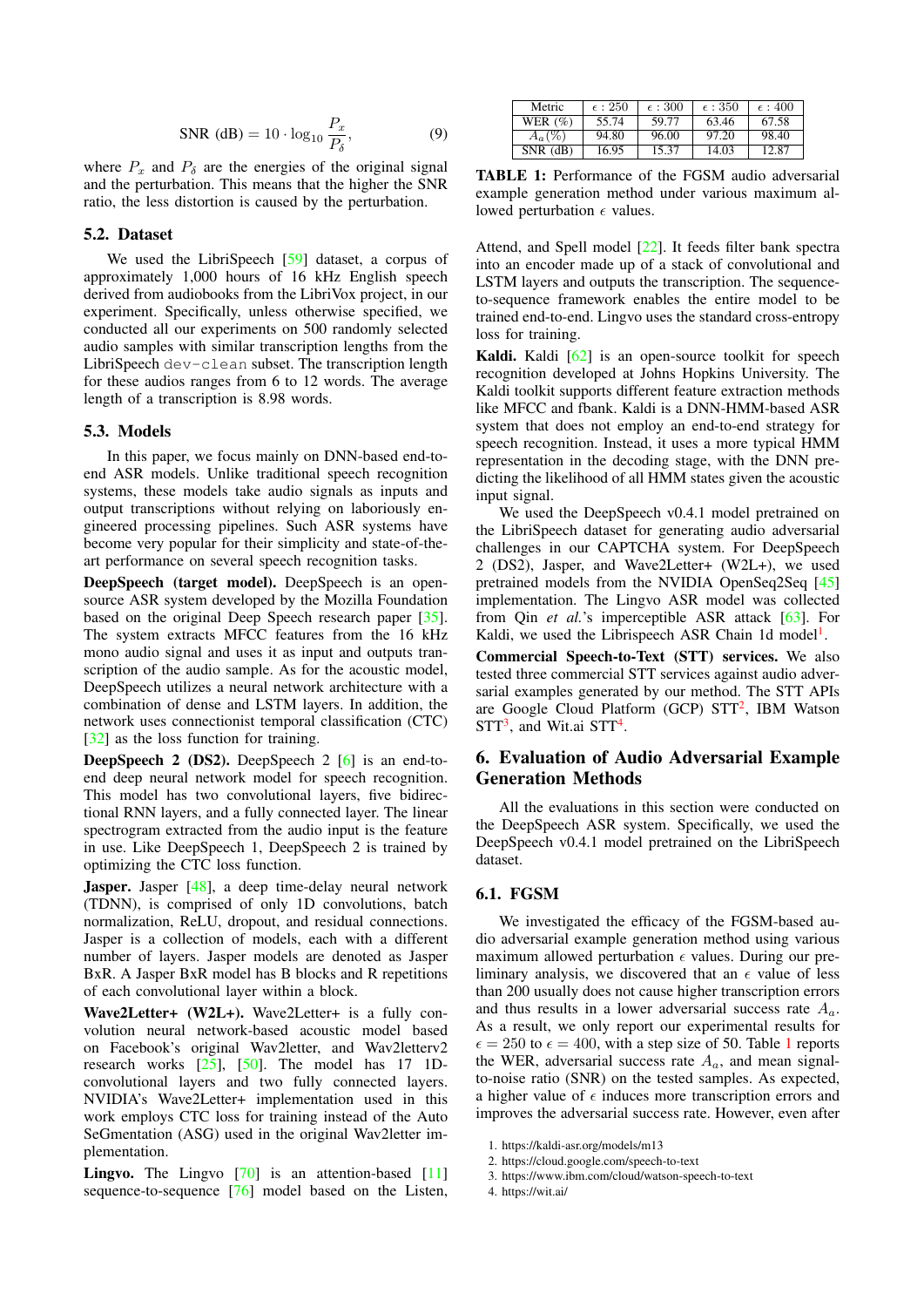$$
\text{SNR (dB)} = 10 \cdot \log_{10} \frac{P_x}{P_\delta},\tag{9}
$$

where  $P_x$  and  $P_\delta$  are the energies of the original signal and the perturbation. This means that the higher the SNR ratio, the less distortion is caused by the perturbation.

### <span id="page-5-6"></span>5.2. Dataset

We used the LibriSpeech [\[59\]](#page-15-28) dataset, a corpus of approximately 1,000 hours of 16 kHz English speech derived from audiobooks from the LibriVox project, in our experiment. Specifically, unless otherwise specified, we conducted all our experiments on 500 randomly selected audio samples with similar transcription lengths from the LibriSpeech dev-clean subset. The transcription length for these audios ranges from 6 to 12 words. The average length of a transcription is 8.98 words.

### 5.3. Models

In this paper, we focus mainly on DNN-based end-toend ASR models. Unlike traditional speech recognition systems, these models take audio signals as inputs and output transcriptions without relying on laboriously engineered processing pipelines. Such ASR systems have become very popular for their simplicity and state-of-theart performance on several speech recognition tasks.

DeepSpeech (target model). DeepSpeech is an opensource ASR system developed by the Mozilla Foundation based on the original Deep Speech research paper [\[35\]](#page-15-18). The system extracts MFCC features from the 16 kHz mono audio signal and uses it as input and outputs transcription of the audio sample. As for the acoustic model, DeepSpeech utilizes a neural network architecture with a combination of dense and LSTM layers. In addition, the network uses connectionist temporal classification (CTC) [\[32\]](#page-14-12) as the loss function for training.

DeepSpeech 2 (DS2). DeepSpeech 2 [\[6\]](#page-14-25) is an end-toend deep neural network model for speech recognition. This model has two convolutional layers, five bidirectional RNN layers, and a fully connected layer. The linear spectrogram extracted from the audio input is the feature in use. Like DeepSpeech 1, DeepSpeech 2 is trained by optimizing the CTC loss function.

Jasper. Jasper [\[48\]](#page-15-29), a deep time-delay neural network (TDNN), is comprised of only 1D convolutions, batch normalization, ReLU, dropout, and residual connections. Jasper is a collection of models, each with a different number of layers. Jasper models are denoted as Jasper BxR. A Jasper BxR model has B blocks and R repetitions of each convolutional layer within a block.

Wave2Letter+ (W2L+). Wave2Letter+ is a fully convolution neural network-based acoustic model based on Facebook's original Wav2letter, and Wav2letterv2 research works [\[25\]](#page-14-26), [\[50\]](#page-15-30). The model has 17 1Dconvolutional layers and two fully connected layers. NVIDIA's Wave2Letter+ implementation used in this work employs CTC loss for training instead of the Auto SeGmentation (ASG) used in the original Wav2letter implementation.

**Lingvo.** The Lingvo  $[70]$  is an attention-based  $[11]$ sequence-to-sequence [\[76\]](#page-16-10) model based on the Listen,

<span id="page-5-4"></span>

| Metric       | $\epsilon$ : 250 | $\epsilon$ : 300 | $\epsilon$ : 350 | $\epsilon$ : 400 |
|--------------|------------------|------------------|------------------|------------------|
| WER $(\%)$   | 55.74            | 59.77            | 63.46            | 67.58            |
| $A_a(\%)$    | 94.80            | 96.00            | 97.20            | 98.40            |
| $SNR$ $(dB)$ | 16.95            | 15.37            | 14.03            | 12.87            |

TABLE 1: Performance of the FGSM audio adversarial example generation method under various maximum allowed perturbation  $\epsilon$  values.

Attend, and Spell model [\[22\]](#page-14-28). It feeds filter bank spectra into an encoder made up of a stack of convolutional and LSTM layers and outputs the transcription. The sequenceto-sequence framework enables the entire model to be trained end-to-end. Lingvo uses the standard cross-entropy loss for training.

Kaldi. Kaldi [\[62\]](#page-15-32) is an open-source toolkit for speech recognition developed at Johns Hopkins University. The Kaldi toolkit supports different feature extraction methods like MFCC and fbank. Kaldi is a DNN-HMM-based ASR system that does not employ an end-to-end strategy for speech recognition. Instead, it uses a more typical HMM representation in the decoding stage, with the DNN predicting the likelihood of all HMM states given the acoustic input signal.

We used the DeepSpeech v0.4.1 model pretrained on the LibriSpeech dataset for generating audio adversarial challenges in our CAPTCHA system. For DeepSpeech 2 (DS2), Jasper, and Wave2Letter+ (W2L+), we used pretrained models from the NVIDIA OpenSeq2Seq [\[45\]](#page-15-33) implementation. The Lingvo ASR model was collected from Qin *et al.*'s imperceptible ASR attack [\[63\]](#page-15-5). For Kaldi, we used the Librispeech ASR Chain [1](#page-5-0)d model<sup>1</sup>.

Commercial Speech-to-Text (STT) services. We also tested three commercial STT services against audio adversarial examples generated by our method. The STT APIs are Google Cloud Platform (GCP) STT<sup>[2](#page-5-1)</sup>, IBM Watson  $STT<sup>3</sup>$  $STT<sup>3</sup>$  $STT<sup>3</sup>$ , and Wit.ai  $STT<sup>4</sup>$  $STT<sup>4</sup>$  $STT<sup>4</sup>$ .

# <span id="page-5-5"></span>6. Evaluation of Audio Adversarial Example Generation Methods

All the evaluations in this section were conducted on the DeepSpeech ASR system. Specifically, we used the DeepSpeech v0.4.1 model pretrained on the LibriSpeech dataset.

### 6.1. FGSM

We investigated the efficacy of the FGSM-based audio adversarial example generation method using various maximum allowed perturbation  $\epsilon$  values. During our preliminary analysis, we discovered that an  $\epsilon$  value of less than 200 usually does not cause higher transcription errors and thus results in a lower adversarial success rate  $A_a$ . As a result, we only report our experimental results for  $\epsilon = 250$  to  $\epsilon = 400$ , with a step size of 50. Table [1](#page-5-4) reports the WER, adversarial success rate  $A_a$ , and mean signalto-noise ratio (SNR) on the tested samples. As expected, a higher value of  $\epsilon$  induces more transcription errors and improves the adversarial success rate. However, even after

- <span id="page-5-1"></span>2. https://cloud.google.com/speech-to-text
- <span id="page-5-2"></span>3. https://www.ibm.com/cloud/watson-speech-to-text
- <span id="page-5-3"></span>4. https://wit.ai/

<span id="page-5-0"></span><sup>1.</sup> https://kaldi-asr.org/models/m13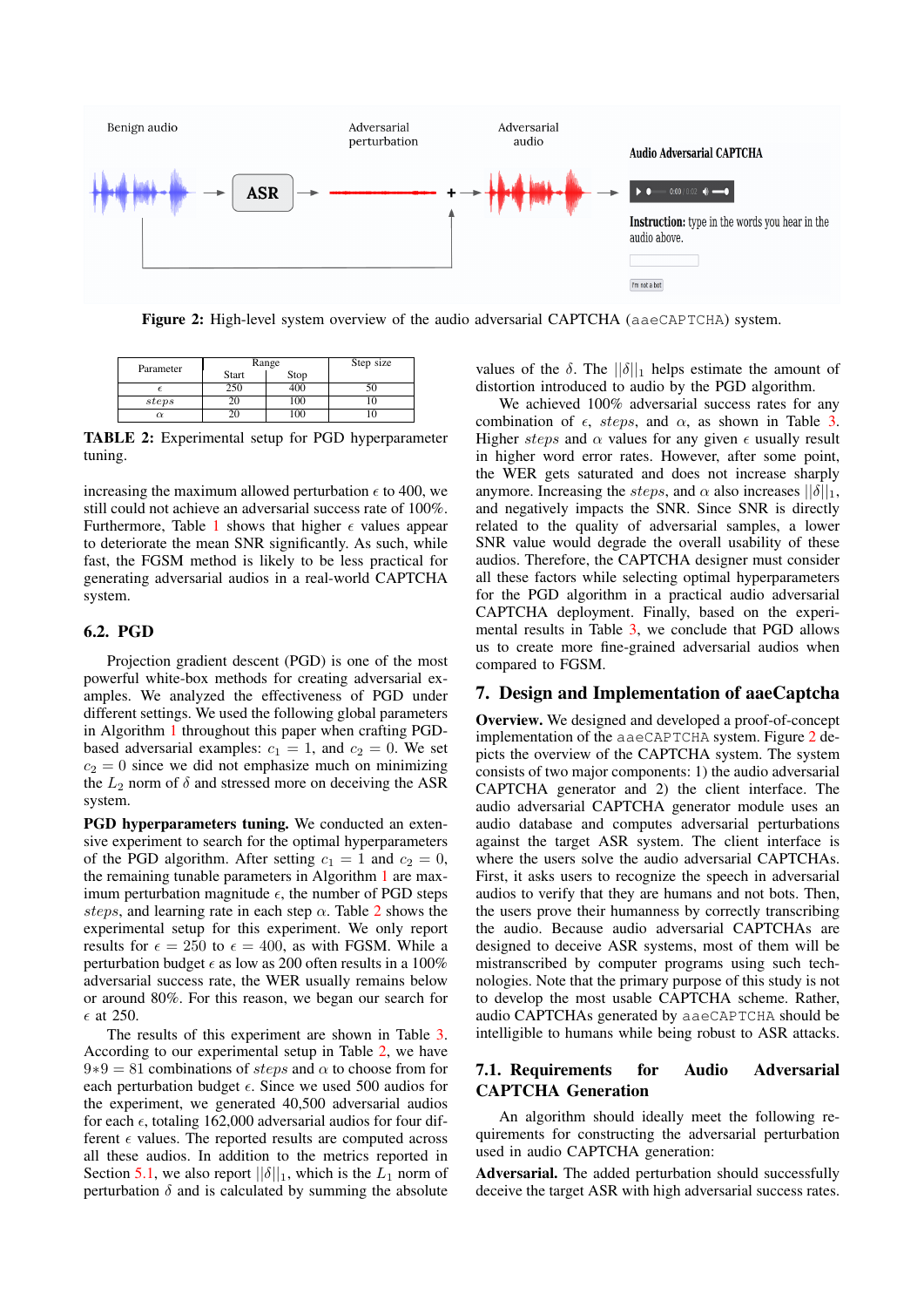<span id="page-6-1"></span>

Figure 2: High-level system overview of the audio adversarial CAPTCHA (aaeCAPTCHA) system.

<span id="page-6-0"></span>

| Parameter |       | Range | Step size |
|-----------|-------|-------|-----------|
|           | Start | Stop  |           |
|           | 250   |       |           |
| steps     |       | 100   |           |
| α         |       | 100   |           |

TABLE 2: Experimental setup for PGD hyperparameter tuning.

increasing the maximum allowed perturbation  $\epsilon$  to 400, we still could not achieve an adversarial success rate of 100%. Furthermore, Table [1](#page-5-4) shows that higher  $\epsilon$  values appear to deteriorate the mean SNR significantly. As such, while fast, the FGSM method is likely to be less practical for generating adversarial audios in a real-world CAPTCHA system.

### 6.2. PGD

Projection gradient descent (PGD) is one of the most powerful white-box methods for creating adversarial examples. We analyzed the effectiveness of PGD under different settings. We used the following global parameters in Algorithm [1](#page-4-1) throughout this paper when crafting PGDbased adversarial examples:  $c_1 = 1$ , and  $c_2 = 0$ . We set  $c_2 = 0$  since we did not emphasize much on minimizing the  $L_2$  norm of  $\delta$  and stressed more on deceiving the ASR system.

PGD hyperparameters tuning. We conducted an extensive experiment to search for the optimal hyperparameters of the PGD algorithm. After setting  $c_1 = 1$  and  $c_2 = 0$ , the remaining tunable parameters in Algorithm [1](#page-4-1) are maximum perturbation magnitude  $\epsilon$ , the number of PGD steps steps, and learning rate in each step  $\alpha$ . Table [2](#page-6-0) shows the experimental setup for this experiment. We only report results for  $\epsilon = 250$  to  $\epsilon = 400$ , as with FGSM. While a perturbation budget  $\epsilon$  as low as 200 often results in a 100% adversarial success rate, the WER usually remains below or around 80%. For this reason, we began our search for  $\epsilon$  at 250.

The results of this experiment are shown in Table [3.](#page-7-0) According to our experimental setup in Table [2,](#page-6-0) we have  $9*9 = 81$  combinations of *steps* and  $\alpha$  to choose from for each perturbation budget  $\epsilon$ . Since we used 500 audios for the experiment, we generated 40,500 adversarial audios for each  $\epsilon$ , totaling 162,000 adversarial audios for four different  $\epsilon$  values. The reported results are computed across all these audios. In addition to the metrics reported in Section [5.1,](#page-4-2) we also report  $||\delta||_1$ , which is the  $L_1$  norm of perturbation  $\delta$  and is calculated by summing the absolute

values of the  $\delta$ . The  $||\delta||_1$  helps estimate the amount of distortion introduced to audio by the PGD algorithm.

We achieved 100% adversarial success rates for any combination of  $\epsilon$ , steps, and  $\alpha$ , as shown in Table [3.](#page-7-0) Higher steps and  $\alpha$  values for any given  $\epsilon$  usually result in higher word error rates. However, after some point, the WER gets saturated and does not increase sharply anymore. Increasing the *steps*, and  $\alpha$  also increases  $||\delta||_1$ , and negatively impacts the SNR. Since SNR is directly related to the quality of adversarial samples, a lower SNR value would degrade the overall usability of these audios. Therefore, the CAPTCHA designer must consider all these factors while selecting optimal hyperparameters for the PGD algorithm in a practical audio adversarial CAPTCHA deployment. Finally, based on the experimental results in Table [3,](#page-7-0) we conclude that PGD allows us to create more fine-grained adversarial audios when compared to FGSM.

### 7. Design and Implementation of aaeCaptcha

Overview. We designed and developed a proof-of-concept implementation of the aaeCAPTCHA system. Figure [2](#page-6-1) depicts the overview of the CAPTCHA system. The system consists of two major components: 1) the audio adversarial CAPTCHA generator and 2) the client interface. The audio adversarial CAPTCHA generator module uses an audio database and computes adversarial perturbations against the target ASR system. The client interface is where the users solve the audio adversarial CAPTCHAs. First, it asks users to recognize the speech in adversarial audios to verify that they are humans and not bots. Then, the users prove their humanness by correctly transcribing the audio. Because audio adversarial CAPTCHAs are designed to deceive ASR systems, most of them will be mistranscribed by computer programs using such technologies. Note that the primary purpose of this study is not to develop the most usable CAPTCHA scheme. Rather, audio CAPTCHAs generated by aaeCAPTCHA should be intelligible to humans while being robust to ASR attacks.

### 7.1. Requirements for Audio Adversarial CAPTCHA Generation

An algorithm should ideally meet the following requirements for constructing the adversarial perturbation used in audio CAPTCHA generation:

Adversarial. The added perturbation should successfully deceive the target ASR with high adversarial success rates.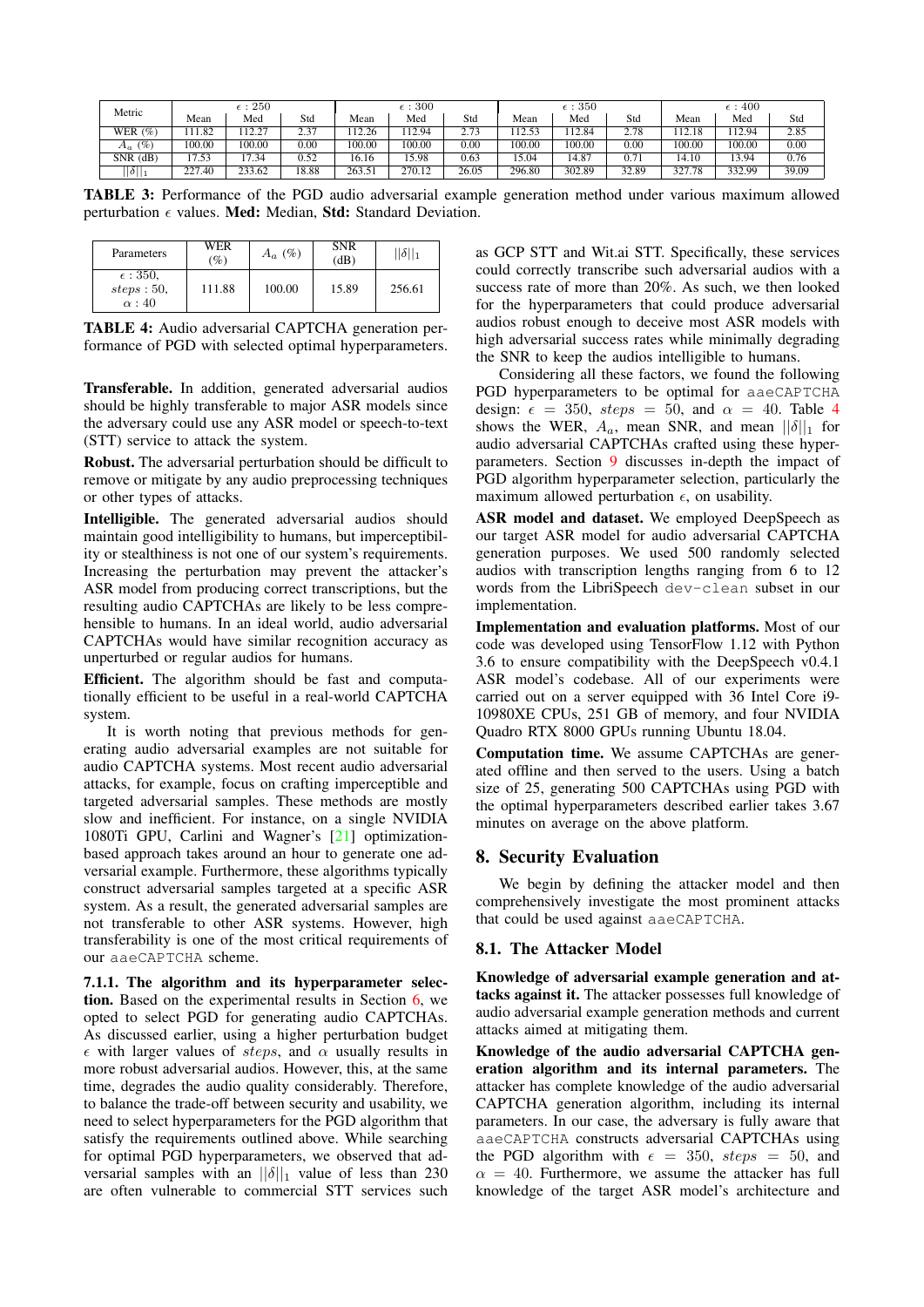<span id="page-7-0"></span>

| $\epsilon:250$<br>Metric |        |        | $\epsilon$ : 300 |        |        | $\epsilon$ : 350 |        |        | $\epsilon$ : 400 |             |        |       |
|--------------------------|--------|--------|------------------|--------|--------|------------------|--------|--------|------------------|-------------|--------|-------|
|                          | Mean   | Med    | Std              | Mean   | Med    | Std              | Mean   | Med    | Std              | Mean        | Med    | Std   |
| WER $(%)$                | 11.82  | 12.27  | ว ว7<br>د.ء      | 12.26  | 12.94  | 2.73             | 12.53  | 12.84  | 2.78             | 12.18       | 12.94  | 2.85  |
| $(\%)$<br>$A_a$          | 100.00 | 100.00 | 0.00             | 100.00 | 100.00 | 0.00             | 100.00 | 100.00 | 0.00             | 100.00      | 100.00 | 0.00  |
| $SNR$ $(dB)$             | 17.53  | 17.34  | 0.52             | 16.16  | 5.98   | 0.63             | 15.04  | 4.87   | 0.71             | 14.10       | 13.94  | 0.76  |
| $\ \delta\ _1$           | 227.40 | 233.62 | 18.88            | 263.51 | 270.12 | 26.05            | 296.80 | 302.89 | 32.89            | 327.<br>.78 | 332.99 | 39.09 |

TABLE 3: Performance of the PGD audio adversarial example generation method under various maximum allowed perturbation  $\epsilon$  values. Med: Median, Std: Standard Deviation.

<span id="page-7-1"></span>

| Parameters                                     | WER<br>(%) | $A_a$ (%) | <b>SNR</b><br>(dB) | $  \delta  _1$ |
|------------------------------------------------|------------|-----------|--------------------|----------------|
| $\epsilon$ : 350,<br>steps: 50,<br>$\alpha:40$ | 111.88     | 100.00    | 15.89              | 256.61         |

TABLE 4: Audio adversarial CAPTCHA generation performance of PGD with selected optimal hyperparameters.

Transferable. In addition, generated adversarial audios should be highly transferable to major ASR models since the adversary could use any ASR model or speech-to-text (STT) service to attack the system.

Robust. The adversarial perturbation should be difficult to remove or mitigate by any audio preprocessing techniques or other types of attacks.

Intelligible. The generated adversarial audios should maintain good intelligibility to humans, but imperceptibility or stealthiness is not one of our system's requirements. Increasing the perturbation may prevent the attacker's ASR model from producing correct transcriptions, but the resulting audio CAPTCHAs are likely to be less comprehensible to humans. In an ideal world, audio adversarial CAPTCHAs would have similar recognition accuracy as unperturbed or regular audios for humans.

Efficient. The algorithm should be fast and computationally efficient to be useful in a real-world CAPTCHA system.

It is worth noting that previous methods for generating audio adversarial examples are not suitable for audio CAPTCHA systems. Most recent audio adversarial attacks, for example, focus on crafting imperceptible and targeted adversarial samples. These methods are mostly slow and inefficient. For instance, on a single NVIDIA 1080Ti GPU, Carlini and Wagner's [\[21\]](#page-14-8) optimizationbased approach takes around an hour to generate one adversarial example. Furthermore, these algorithms typically construct adversarial samples targeted at a specific ASR system. As a result, the generated adversarial samples are not transferable to other ASR systems. However, high transferability is one of the most critical requirements of our aaeCAPTCHA scheme.

<span id="page-7-2"></span>7.1.1. The algorithm and its hyperparameter selection. Based on the experimental results in Section [6,](#page-5-5) we opted to select PGD for generating audio CAPTCHAs. As discussed earlier, using a higher perturbation budget  $\epsilon$  with larger values of steps, and  $\alpha$  usually results in more robust adversarial audios. However, this, at the same time, degrades the audio quality considerably. Therefore, to balance the trade-off between security and usability, we need to select hyperparameters for the PGD algorithm that satisfy the requirements outlined above. While searching for optimal PGD hyperparameters, we observed that adversarial samples with an  $||\delta||_1$  value of less than 230 are often vulnerable to commercial STT services such as GCP STT and Wit.ai STT. Specifically, these services could correctly transcribe such adversarial audios with a success rate of more than 20%. As such, we then looked for the hyperparameters that could produce adversarial audios robust enough to deceive most ASR models with high adversarial success rates while minimally degrading the SNR to keep the audios intelligible to humans.

Considering all these factors, we found the following PGD hyperparameters to be optimal for aaeCAPTCHA design:  $\epsilon = 350$ ,  $steps = 50$ , and  $\alpha = 40$  $\alpha = 40$  $\alpha = 40$ . Table 4 shows the WER,  $A_a$ , mean SNR, and mean  $||\delta||_1$  for audio adversarial CAPTCHAs crafted using these hyperparameters. Section [9](#page-12-0) discusses in-depth the impact of PGD algorithm hyperparameter selection, particularly the maximum allowed perturbation  $\epsilon$ , on usability.

ASR model and dataset. We employed DeepSpeech as our target ASR model for audio adversarial CAPTCHA generation purposes. We used 500 randomly selected audios with transcription lengths ranging from 6 to 12 words from the LibriSpeech dev-clean subset in our implementation.

Implementation and evaluation platforms. Most of our code was developed using TensorFlow 1.12 with Python 3.6 to ensure compatibility with the DeepSpeech v0.4.1 ASR model's codebase. All of our experiments were carried out on a server equipped with 36 Intel Core i9- 10980XE CPUs, 251 GB of memory, and four NVIDIA Quadro RTX 8000 GPUs running Ubuntu 18.04.

Computation time. We assume CAPTCHAs are generated offline and then served to the users. Using a batch size of 25, generating 500 CAPTCHAs using PGD with the optimal hyperparameters described earlier takes 3.67 minutes on average on the above platform.

# <span id="page-7-3"></span>8. Security Evaluation

We begin by defining the attacker model and then comprehensively investigate the most prominent attacks that could be used against aaeCAPTCHA.

### 8.1. The Attacker Model

Knowledge of adversarial example generation and attacks against it. The attacker possesses full knowledge of audio adversarial example generation methods and current attacks aimed at mitigating them.

Knowledge of the audio adversarial CAPTCHA generation algorithm and its internal parameters. The attacker has complete knowledge of the audio adversarial CAPTCHA generation algorithm, including its internal parameters. In our case, the adversary is fully aware that aaeCAPTCHA constructs adversarial CAPTCHAs using the PGD algorithm with  $\epsilon = 350$ , steps = 50, and  $\alpha = 40$ . Furthermore, we assume the attacker has full knowledge of the target ASR model's architecture and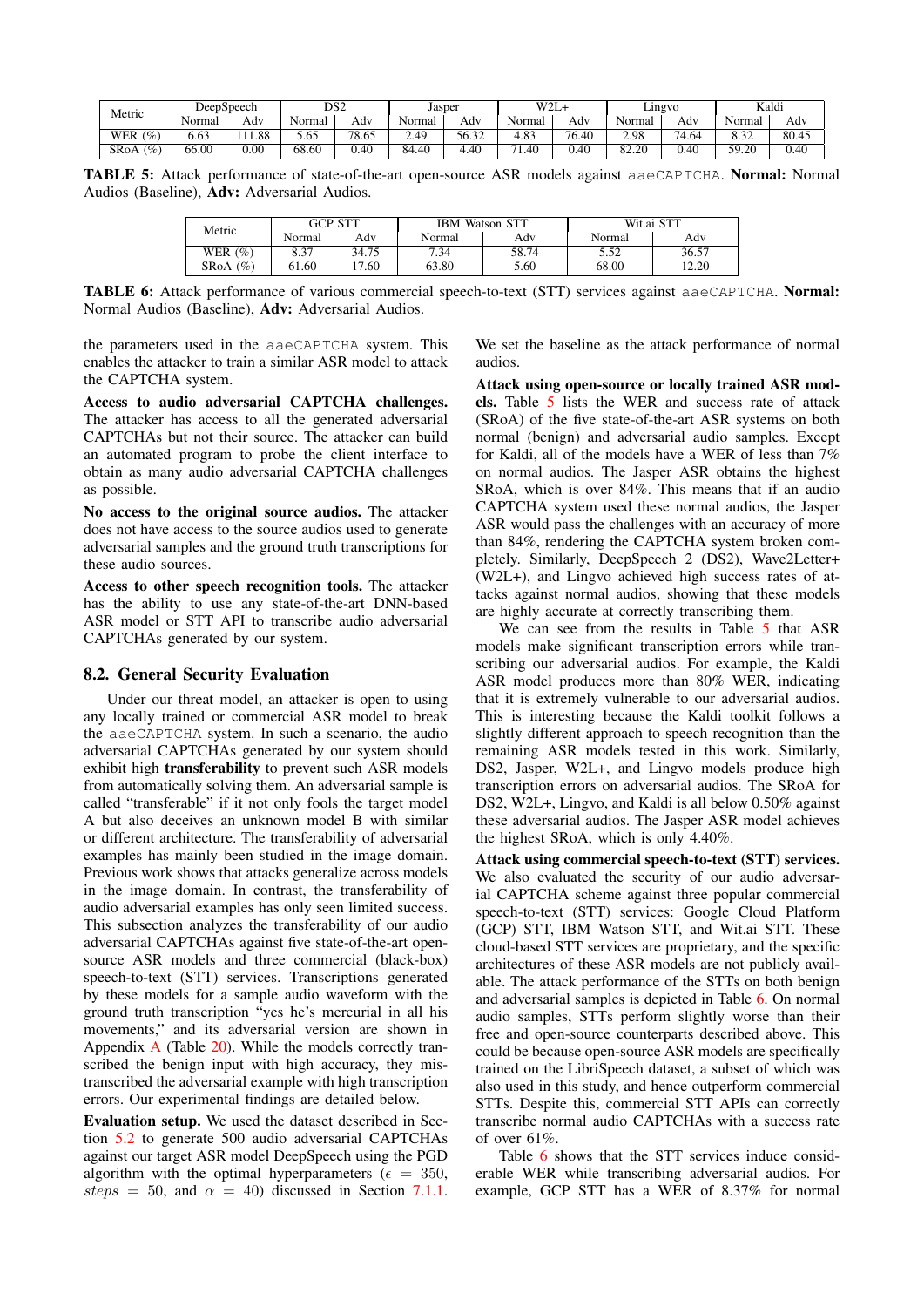<span id="page-8-0"></span>

| Metric             |        | DeepSpeech | DS2    |       | Jasper     |       | W2L <sub>1</sub> |       |        | Lingvo                | Kaldi            |       |
|--------------------|--------|------------|--------|-------|------------|-------|------------------|-------|--------|-----------------------|------------------|-------|
|                    | Normal | Adv        | Normal | Adv   | Normal     | Adv   | Normal           | Adv   | Normal | Adv                   | <b>Normal</b>    | Adv   |
| (9)<br>WER         | 6.63   | 1.88       | 5.65   | 78.65 | $40^\circ$ | 56.32 | 4.83             | 76.40 | 2.98   | 74<br><sup>+.64</sup> | 8.32             | 80.45 |
| (9)<br><b>SRoA</b> | 66.00  | $_{0.00}$  | 68.60  | 0.40  | 84.40      | 4.40  | $-1$<br>1.40     | 0.40  | 82.20  | 0.40                  | 59.20<br>∖ ک د ر | 0.40  |

<span id="page-8-1"></span>TABLE 5: Attack performance of state-of-the-art open-source ASR models against aaeCAPTCHA. Normal: Normal Audios (Baseline), Adv: Adversarial Audios.

| Metric      | GCP STT |       |        | <b>IBM Watson STT</b> | Wit.ai STT |       |  |
|-------------|---------|-------|--------|-----------------------|------------|-------|--|
|             | Normal  | Adv   | Normal | Adv                   | Normal     | Adv   |  |
| WER $(\% )$ | 8.37    | 34.75 | 7.34   | 58.74                 | 5.52       | 36.57 |  |
| $SRA(\%)$   | 61.60   | '7.60 | 63.80  | 5.60                  | 68.00      | 12.20 |  |

TABLE 6: Attack performance of various commercial speech-to-text (STT) services against aaeCAPTCHA. Normal: Normal Audios (Baseline), Adv: Adversarial Audios.

the parameters used in the aaeCAPTCHA system. This enables the attacker to train a similar ASR model to attack the CAPTCHA system.

Access to audio adversarial CAPTCHA challenges. The attacker has access to all the generated adversarial CAPTCHAs but not their source. The attacker can build an automated program to probe the client interface to obtain as many audio adversarial CAPTCHA challenges as possible.

No access to the original source audios. The attacker does not have access to the source audios used to generate adversarial samples and the ground truth transcriptions for these audio sources.

Access to other speech recognition tools. The attacker has the ability to use any state-of-the-art DNN-based ASR model or STT API to transcribe audio adversarial CAPTCHAs generated by our system.

### <span id="page-8-2"></span>8.2. General Security Evaluation

Under our threat model, an attacker is open to using any locally trained or commercial ASR model to break the aaeCAPTCHA system. In such a scenario, the audio adversarial CAPTCHAs generated by our system should exhibit high transferability to prevent such ASR models from automatically solving them. An adversarial sample is called "transferable" if it not only fools the target model A but also deceives an unknown model B with similar or different architecture. The transferability of adversarial examples has mainly been studied in the image domain. Previous work shows that attacks generalize across models in the image domain. In contrast, the transferability of audio adversarial examples has only seen limited success. This subsection analyzes the transferability of our audio adversarial CAPTCHAs against five state-of-the-art opensource ASR models and three commercial (black-box) speech-to-text (STT) services. Transcriptions generated by these models for a sample audio waveform with the ground truth transcription "yes he's mercurial in all his movements," and its adversarial version are shown in Appendix [A](#page-16-23) (Table [20\)](#page-17-0). While the models correctly transcribed the benign input with high accuracy, they mistranscribed the adversarial example with high transcription errors. Our experimental findings are detailed below.

Evaluation setup. We used the dataset described in Section [5.2](#page-5-6) to generate 500 audio adversarial CAPTCHAs against our target ASR model DeepSpeech using the PGD algorithm with the optimal hyperparameters ( $\epsilon = 350$ , steps = 50, and  $\alpha = 40$ ) discussed in Section [7.1.1.](#page-7-2)

We set the baseline as the attack performance of normal audios.

Attack using open-source or locally trained ASR models. Table [5](#page-8-0) lists the WER and success rate of attack (SRoA) of the five state-of-the-art ASR systems on both normal (benign) and adversarial audio samples. Except for Kaldi, all of the models have a WER of less than 7% on normal audios. The Jasper ASR obtains the highest SRoA, which is over 84%. This means that if an audio CAPTCHA system used these normal audios, the Jasper ASR would pass the challenges with an accuracy of more than 84%, rendering the CAPTCHA system broken completely. Similarly, DeepSpeech 2 (DS2), Wave2Letter+ (W2L+), and Lingvo achieved high success rates of attacks against normal audios, showing that these models are highly accurate at correctly transcribing them.

We can see from the results in Table [5](#page-8-0) that ASR models make significant transcription errors while transcribing our adversarial audios. For example, the Kaldi ASR model produces more than 80% WER, indicating that it is extremely vulnerable to our adversarial audios. This is interesting because the Kaldi toolkit follows a slightly different approach to speech recognition than the remaining ASR models tested in this work. Similarly, DS2, Jasper, W2L+, and Lingvo models produce high transcription errors on adversarial audios. The SRoA for DS2, W2L+, Lingvo, and Kaldi is all below 0.50% against these adversarial audios. The Jasper ASR model achieves the highest SRoA, which is only 4.40%.

Attack using commercial speech-to-text (STT) services. We also evaluated the security of our audio adversarial CAPTCHA scheme against three popular commercial speech-to-text (STT) services: Google Cloud Platform (GCP) STT, IBM Watson STT, and Wit.ai STT. These cloud-based STT services are proprietary, and the specific architectures of these ASR models are not publicly available. The attack performance of the STTs on both benign and adversarial samples is depicted in Table [6.](#page-8-1) On normal audio samples, STTs perform slightly worse than their free and open-source counterparts described above. This could be because open-source ASR models are specifically trained on the LibriSpeech dataset, a subset of which was also used in this study, and hence outperform commercial STTs. Despite this, commercial STT APIs can correctly transcribe normal audio CAPTCHAs with a success rate of over 61%.

Table [6](#page-8-1) shows that the STT services induce considerable WER while transcribing adversarial audios. For example, GCP STT has a WER of 8.37% for normal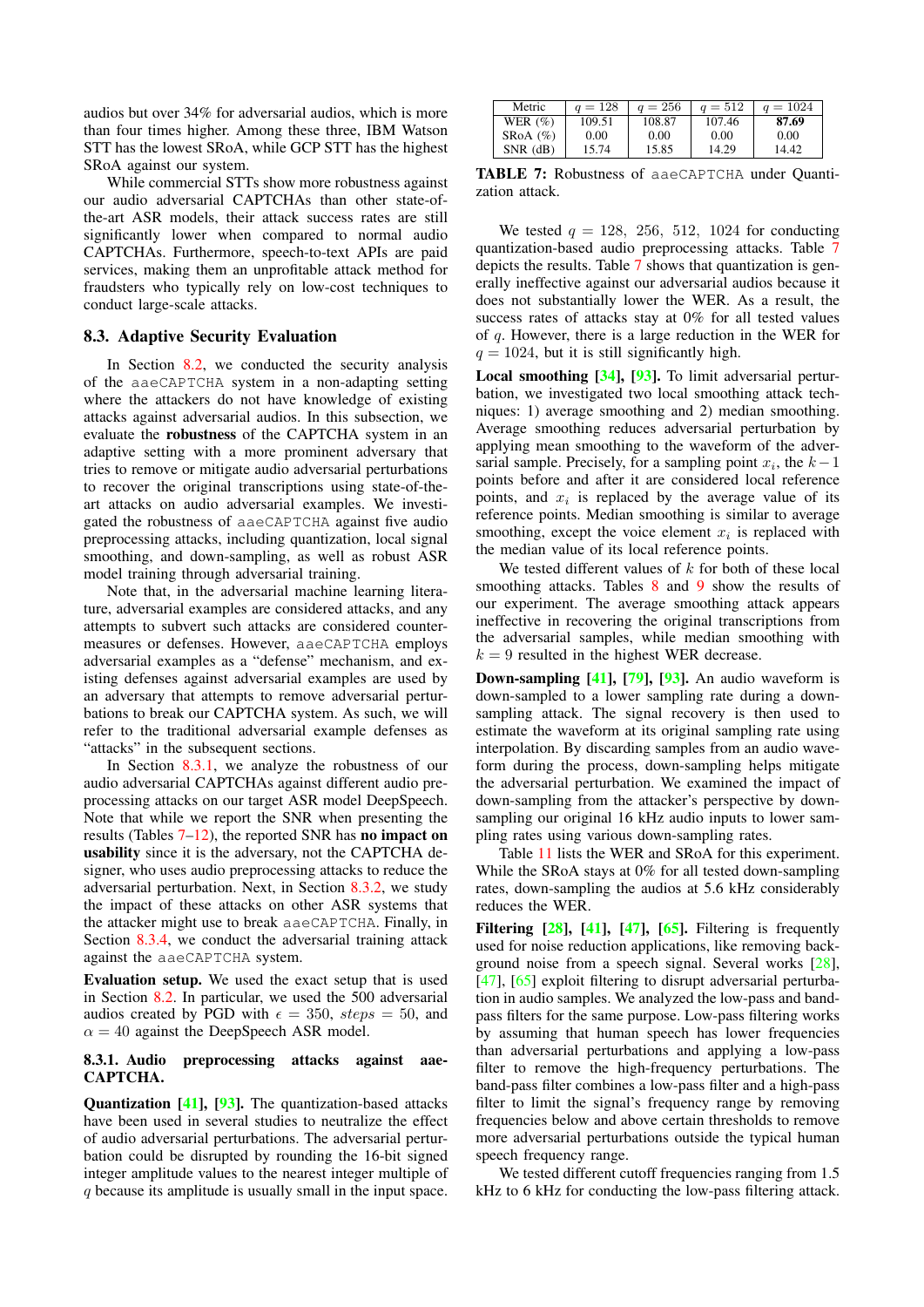audios but over 34% for adversarial audios, which is more than four times higher. Among these three, IBM Watson STT has the lowest SRoA, while GCP STT has the highest SRoA against our system.

While commercial STTs show more robustness against our audio adversarial CAPTCHAs than other state-ofthe-art ASR models, their attack success rates are still significantly lower when compared to normal audio CAPTCHAs. Furthermore, speech-to-text APIs are paid services, making them an unprofitable attack method for fraudsters who typically rely on low-cost techniques to conduct large-scale attacks.

#### 8.3. Adaptive Security Evaluation

In Section [8.2,](#page-8-2) we conducted the security analysis of the aaeCAPTCHA system in a non-adapting setting where the attackers do not have knowledge of existing attacks against adversarial audios. In this subsection, we evaluate the robustness of the CAPTCHA system in an adaptive setting with a more prominent adversary that tries to remove or mitigate audio adversarial perturbations to recover the original transcriptions using state-of-theart attacks on audio adversarial examples. We investigated the robustness of aaeCAPTCHA against five audio preprocessing attacks, including quantization, local signal smoothing, and down-sampling, as well as robust ASR model training through adversarial training.

Note that, in the adversarial machine learning literature, adversarial examples are considered attacks, and any attempts to subvert such attacks are considered countermeasures or defenses. However, aaeCAPTCHA employs adversarial examples as a "defense" mechanism, and existing defenses against adversarial examples are used by an adversary that attempts to remove adversarial perturbations to break our CAPTCHA system. As such, we will refer to the traditional adversarial example defenses as "attacks" in the subsequent sections.

In Section [8.3.1,](#page-9-0) we analyze the robustness of our audio adversarial CAPTCHAs against different audio preprocessing attacks on our target ASR model DeepSpeech. Note that while we report the SNR when presenting the results (Tables [7–](#page-9-1)[12\)](#page-10-0), the reported SNR has no impact on usability since it is the adversary, not the CAPTCHA designer, who uses audio preprocessing attacks to reduce the adversarial perturbation. Next, in Section [8.3.2,](#page-10-1) we study the impact of these attacks on other ASR systems that the attacker might use to break aaeCAPTCHA. Finally, in Section [8.3.4,](#page-11-0) we conduct the adversarial training attack against the aaeCAPTCHA system.

Evaluation setup. We used the exact setup that is used in Section [8.2.](#page-8-2) In particular, we used the 500 adversarial audios created by PGD with  $\epsilon = 350$ ,  $steps = 50$ , and  $\alpha = 40$  against the DeepSpeech ASR model.

### <span id="page-9-0"></span>8.3.1. Audio preprocessing attacks against aae-CAPTCHA.

Quantization [\[41\]](#page-15-7), [\[93\]](#page-16-9). The quantization-based attacks have been used in several studies to neutralize the effect of audio adversarial perturbations. The adversarial perturbation could be disrupted by rounding the 16-bit signed integer amplitude values to the nearest integer multiple of q because its amplitude is usually small in the input space.

<span id="page-9-1"></span>

| Metric        | $q = 128$ | $q = 256$ | $q = 512$ | $q = 1024$ |
|---------------|-----------|-----------|-----------|------------|
| WER $(\%)$    | 109.51    | 108.87    | 107.46    | 87.69      |
| $SROA$ $(\%)$ | 0.00      | 0.00      | 0.00      | 0.00       |
| $SNR$ (dB)    | 15.74     | 15.85     | 14.29     | 14.42      |

TABLE 7: Robustness of aaeCAPTCHA under Quantization attack.

We tested  $q = 128$ , 256, 512, 1024 for conducting quantization-based audio preprocessing attacks. Table [7](#page-9-1) depicts the results. Table [7](#page-9-1) shows that quantization is generally ineffective against our adversarial audios because it does not substantially lower the WER. As a result, the success rates of attacks stay at 0% for all tested values of q. However, there is a large reduction in the WER for  $q = 1024$ , but it is still significantly high.

Local smoothing [\[34\]](#page-14-23), [\[93\]](#page-16-9). To limit adversarial perturbation, we investigated two local smoothing attack techniques: 1) average smoothing and 2) median smoothing. Average smoothing reduces adversarial perturbation by applying mean smoothing to the waveform of the adversarial sample. Precisely, for a sampling point  $x_i$ , the  $k-1$ points before and after it are considered local reference points, and  $x_i$  is replaced by the average value of its reference points. Median smoothing is similar to average smoothing, except the voice element  $x_i$  is replaced with the median value of its local reference points.

We tested different values of  $k$  for both of these local smoothing attacks. Tables [8](#page-10-2) and [9](#page-10-3) show the results of our experiment. The average smoothing attack appears ineffective in recovering the original transcriptions from the adversarial samples, while median smoothing with  $k = 9$  resulted in the highest WER decrease.

**Down-sampling [\[41\]](#page-15-7), [\[79\]](#page-16-17), [\[93\]](#page-16-9).** An audio waveform is down-sampled to a lower sampling rate during a downsampling attack. The signal recovery is then used to estimate the waveform at its original sampling rate using interpolation. By discarding samples from an audio waveform during the process, down-sampling helps mitigate the adversarial perturbation. We examined the impact of down-sampling from the attacker's perspective by downsampling our original 16 kHz audio inputs to lower sampling rates using various down-sampling rates.

Table [11](#page-10-4) lists the WER and SRoA for this experiment. While the SRoA stays at 0% for all tested down-sampling rates, down-sampling the audios at 5.6 kHz considerably reduces the WER.

Filtering  $[28]$ ,  $[41]$ ,  $[47]$ ,  $[65]$ . Filtering is frequently used for noise reduction applications, like removing background noise from a speech signal. Several works [\[28\]](#page-14-29), [\[47\]](#page-15-8), [\[65\]](#page-15-25) exploit filtering to disrupt adversarial perturbation in audio samples. We analyzed the low-pass and bandpass filters for the same purpose. Low-pass filtering works by assuming that human speech has lower frequencies than adversarial perturbations and applying a low-pass filter to remove the high-frequency perturbations. The band-pass filter combines a low-pass filter and a high-pass filter to limit the signal's frequency range by removing frequencies below and above certain thresholds to remove more adversarial perturbations outside the typical human speech frequency range.

We tested different cutoff frequencies ranging from 1.5 kHz to 6 kHz for conducting the low-pass filtering attack.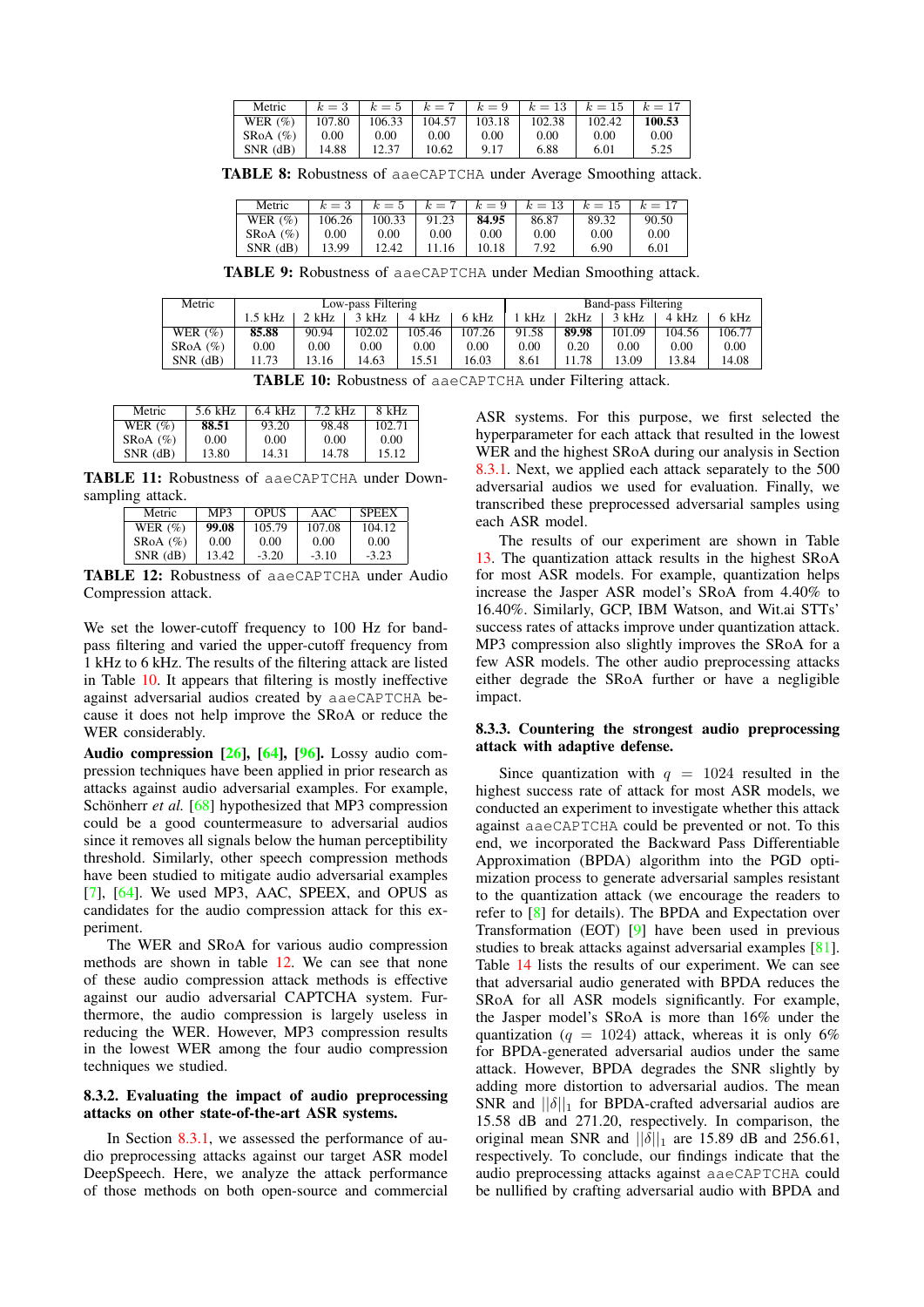<span id="page-10-2"></span>

| Metric        | $k=3$  |        | $k = 5$ $k = 7$ $k = 9$ |        |        | $k = 13 + k = 15 + k = 17$ |        |
|---------------|--------|--------|-------------------------|--------|--------|----------------------------|--------|
| WER $(\%)$    | 107.80 | 106.33 | 104.57                  | 103.18 | 102.38 | 102.42                     | 100.53 |
| $SROA$ $(\%)$ | 0.00   | 0.00   | 0.00                    | 0.00   | 0.00   | 0.00                       | 0.00   |
| $SNR$ (dB)    | 14.88  | 12.37  | 10.62                   | 9.17   | 6.88   | 6.01                       | 5.25   |

TABLE 8: Robustness of aaeCAPTCHA under Average Smoothing attack.

| Metric         | $k=3$  | $k=5$    |        | $k = 7 + k = 9$ | $k=13$   | $k=15$ | $k=17$ |
|----------------|--------|----------|--------|-----------------|----------|--------|--------|
| WER $(\%)$     | 106.26 | 100.33   | 91.23  | 84.95           | 86.87    | 89.32  | 90.50  |
| SRoA $(\% )$   | 0.00   | $0.00\,$ | 0.00   | $0.00\,$        | $0.00\,$ | 0.00   | 0.00   |
| $SNR$ ( $dB$ ) | 13.99  | 12.42    | ' 1.16 | 10.18           | 7.92     | 6.90   | 6.01   |

TABLE 9: Robustness of aaeCAPTCHA under Median Smoothing attack.

<span id="page-10-5"></span><span id="page-10-3"></span>

| Metric       | Low-pass Filtering |          |          |          |        | Band-pass Filtering |       |        |        |        |
|--------------|--------------------|----------|----------|----------|--------|---------------------|-------|--------|--------|--------|
|              | 1.5 kHz            | 2 kHz    | 3 kHz    | 4 kHz    | 6 kHz  | kHz                 | 2kHz  | 3 kHz  | 4 kHz  | 6 kHz  |
| WER $(\%)$   | 85.88              | 90.94    | 102.02   | 105.46   | 107.26 | 91.58               | 89.98 | 101.09 | 104.56 | 106.77 |
| $SRA(\%)$    | $0.00\,$           | $0.00\,$ | $0.00\,$ | $0.00\,$ | 0.00   | 0.00                | 0.20  | 0.00   | 0.00   | 0.00   |
| $SNR$ $(dB)$ | 1.73               | 3.16     | 14.63    | 15.51    | 16.03  | 8.61                | .78   | 13.09  | 13.84  | 14.08  |

TABLE 10: Robustness of aaeCAPTCHA under Filtering attack.

<span id="page-10-4"></span>

| Metric       | 5.6 kHz | $6.4$ kHz | $7.2$ kHz | 8 kHz  |
|--------------|---------|-----------|-----------|--------|
| WER $(\%)$   | 88.51   | 93.20     | 98.48     | 102.71 |
| SRoA (%)     | 0.00    | 0.00      | 0.00      | 0.00   |
| $SNR$ $(dB)$ | 13.80   | 14.31     | 14.78     | 15.12  |

<span id="page-10-0"></span>TABLE 11: Robustness of aaeCAPTCHA under Downsampling attack.

| Metric        | MP3   | OPUS    | AAC     | <b>SPEEX</b> |
|---------------|-------|---------|---------|--------------|
| WER $(\%)$    | 99.08 | 105.79  | 107.08  | 104.12       |
| $SROA$ $(\%)$ | 0.00  | 0.00    | 0.00    | 0.00         |
| $SNR$ $(dB)$  | 13.42 | $-3.20$ | $-3.10$ | $-3.23$      |

TABLE 12: Robustness of aaeCAPTCHA under Audio Compression attack.

We set the lower-cutoff frequency to 100 Hz for bandpass filtering and varied the upper-cutoff frequency from 1 kHz to 6 kHz. The results of the filtering attack are listed in Table [10.](#page-10-5) It appears that filtering is mostly ineffective against adversarial audios created by aaeCAPTCHA because it does not help improve the SRoA or reduce the WER considerably.

Audio compression  $[26]$ ,  $[64]$ ,  $[96]$ . Lossy audio compression techniques have been applied in prior research as attacks against audio adversarial examples. For example, Schönherr *et al.* [\[68\]](#page-15-6) hypothesized that MP3 compression could be a good countermeasure to adversarial audios since it removes all signals below the human perceptibility threshold. Similarly, other speech compression methods have been studied to mitigate audio adversarial examples [\[7\]](#page-14-30), [\[64\]](#page-15-34). We used MP3, AAC, SPEEX, and OPUS as candidates for the audio compression attack for this experiment.

The WER and SRoA for various audio compression methods are shown in table [12.](#page-10-0) We can see that none of these audio compression attack methods is effective against our audio adversarial CAPTCHA system. Furthermore, the audio compression is largely useless in reducing the WER. However, MP3 compression results in the lowest WER among the four audio compression techniques we studied.

#### <span id="page-10-1"></span>8.3.2. Evaluating the impact of audio preprocessing attacks on other state-of-the-art ASR systems.

In Section [8.3.1,](#page-9-0) we assessed the performance of audio preprocessing attacks against our target ASR model DeepSpeech. Here, we analyze the attack performance of those methods on both open-source and commercial ASR systems. For this purpose, we first selected the hyperparameter for each attack that resulted in the lowest WER and the highest SRoA during our analysis in Section [8.3.1.](#page-9-0) Next, we applied each attack separately to the 500 adversarial audios we used for evaluation. Finally, we transcribed these preprocessed adversarial samples using each ASR model.

The results of our experiment are shown in Table [13.](#page-11-1) The quantization attack results in the highest SRoA for most ASR models. For example, quantization helps increase the Jasper ASR model's SRoA from 4.40% to 16.40%. Similarly, GCP, IBM Watson, and Wit.ai STTs' success rates of attacks improve under quantization attack. MP3 compression also slightly improves the SRoA for a few ASR models. The other audio preprocessing attacks either degrade the SRoA further or have a negligible impact.

#### 8.3.3. Countering the strongest audio preprocessing attack with adaptive defense.

Since quantization with  $q = 1024$  resulted in the highest success rate of attack for most ASR models, we conducted an experiment to investigate whether this attack against aaeCAPTCHA could be prevented or not. To this end, we incorporated the Backward Pass Differentiable Approximation (BPDA) algorithm into the PGD optimization process to generate adversarial samples resistant to the quantization attack (we encourage the readers to refer to [\[8\]](#page-14-31) for details). The BPDA and Expectation over Transformation (EOT) [\[9\]](#page-14-32) have been used in previous studies to break attacks against adversarial examples [\[81\]](#page-16-24). Table [14](#page-11-2) lists the results of our experiment. We can see that adversarial audio generated with BPDA reduces the SRoA for all ASR models significantly. For example, the Jasper model's SRoA is more than 16% under the quantization ( $q = 1024$ ) attack, whereas it is only 6% for BPDA-generated adversarial audios under the same attack. However, BPDA degrades the SNR slightly by adding more distortion to adversarial audios. The mean SNR and  $||\delta||_1$  for BPDA-crafted adversarial audios are 15.58 dB and 271.20, respectively. In comparison, the original mean SNR and  $||\delta||_1$  are 15.89 dB and 256.61, respectively. To conclude, our findings indicate that the audio preprocessing attacks against aaeCAPTCHA could be nullified by crafting adversarial audio with BPDA and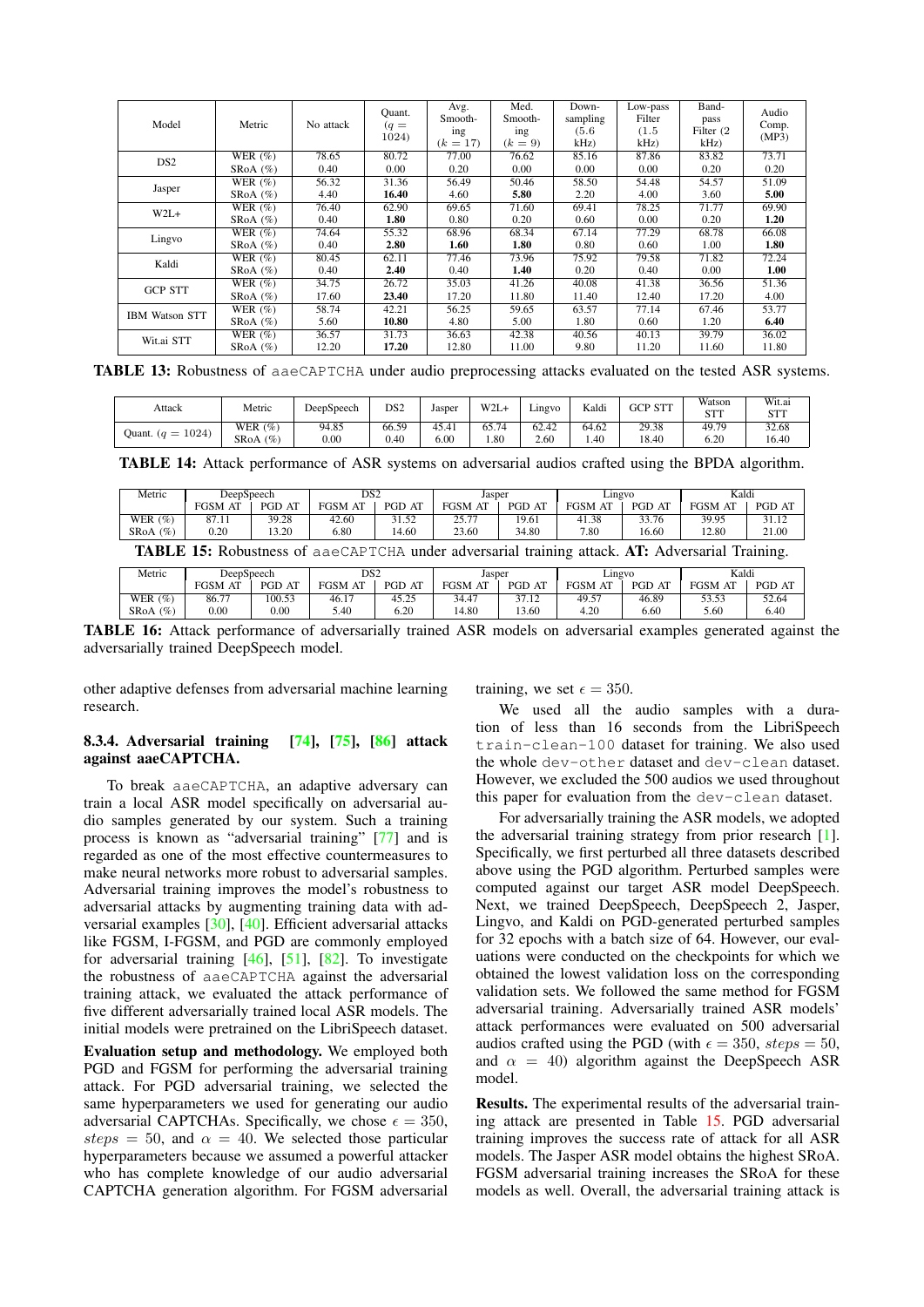<span id="page-11-1"></span>

| Model                 | Metric      | No attack | Ouant.<br>$(q =$<br>1024) | Avg.<br>Smooth-<br>ing<br>$(k = 17)$ | Med.<br>Smooth-<br>ing<br>$(k = 9)$ | Down-<br>sampling<br>(5.6)<br>kHz) | Low-pass<br>Filter<br>(1.5)<br>kHz | Band-<br>pass<br>Filter (2)<br>$kHz$ ) | Audio<br>Comp.<br>(MP3) |
|-----------------------|-------------|-----------|---------------------------|--------------------------------------|-------------------------------------|------------------------------------|------------------------------------|----------------------------------------|-------------------------|
| DS <sub>2</sub>       | WER $(\%)$  | 78.65     | 80.72                     | 77.00                                | 76.62                               | 85.16                              | 87.86                              | 83.82                                  | 73.71                   |
|                       | SRoA $(\%)$ | 0.40      | 0.00                      | 0.20                                 | 0.00                                | 0.00                               | 0.00                               | 0.20                                   | 0.20                    |
|                       | WER $(\%)$  | 56.32     | 31.36                     | 56.49                                | 50.46                               | 58.50                              | 54.48                              | 54.57                                  | 51.09                   |
| Jasper                | SRoA $(\%)$ | 4.40      | 16.40                     | 4.60                                 | 5.80                                | 2.20                               | 4.00                               | 3.60                                   | 5.00                    |
| $W2L+$                | WER $(\%)$  | 76.40     | 62.90                     | 69.65                                | 71.60                               | 69.41                              | 78.25                              | 71.77                                  | 69.90                   |
|                       | SRoA $(\%)$ | 0.40      | 1.80                      | 0.80                                 | 0.20                                | 0.60                               | 0.00                               | 0.20                                   | 1.20                    |
| Lingvo                | WER $(\%)$  | 74.64     | 55.32                     | 68.96                                | 68.34                               | 67.14                              | 77.29                              | 68.78                                  | 66.08                   |
|                       | SRoA $(\%)$ | 0.40      | 2.80                      | 1.60                                 | 1.80                                | 0.80                               | 0.60                               | 1.00                                   | 1.80                    |
| Kaldi                 | WER $(\%)$  | 80.45     | 62.11                     | 77.46                                | 73.96                               | 75.92                              | 79.58                              | 71.82                                  | 72.24                   |
|                       | SRoA $(\%)$ | 0.40      | 2.40                      | 0.40                                 | 1.40                                | 0.20                               | 0.40                               | 0.00                                   | 1.00                    |
| <b>GCP STT</b>        | WER $(\%)$  | 34.75     | 26.72                     | 35.03                                | 41.26                               | 40.08                              | 41.38                              | 36.56                                  | 51.36                   |
|                       | SRoA $(\%)$ | 17.60     | 23.40                     | 17.20                                | 11.80                               | 11.40                              | 12.40                              | 17.20                                  | 4.00                    |
|                       | WER $(\%)$  | 58.74     | 42.21                     | 56.25                                | 59.65                               | 63.57                              | 77.14                              | 67.46                                  | 53.77                   |
| <b>IBM Watson STT</b> | SRoA $(\%)$ | 5.60      | 10.80                     | 4.80                                 | 5.00                                | 1.80                               | 0.60                               | 1.20                                   | 6.40                    |
| Wit.ai STT            | WER $(\%)$  | 36.57     | 31.73                     | 36.63                                | 42.38                               | 40.56                              | 40.13                              | 39.79                                  | 36.02                   |
|                       | SRoA $(\%)$ | 12.20     | 17.20                     | 12.80                                | 11.00                               | 9.80                               | 11.20                              | 11.60                                  | 11.80                   |

<span id="page-11-2"></span>TABLE 13: Robustness of aaeCAPTCHA under audio preprocessing attacks evaluated on the tested ASR systems.

| Attack              | Metric            | DeepSpeech | DS <sub>2</sub> | Jasper | $W2L+$ | Lingve | Kaldi | GCP STT | Watson<br>CTT | Wit.ai<br>CTT<br><b>OLI</b> |
|---------------------|-------------------|------------|-----------------|--------|--------|--------|-------|---------|---------------|-----------------------------|
| Quant. $(q = 1024)$ | WER $(\%)$        | 94.85      | 66.59           | 45.41  | 65.74  | 62.42  | 64.62 | 29.38   | 49.79         | 32.68                       |
|                     | <b>SRoA</b><br>(% | 0.00       | 0.40            | 6.00   | 1.80   | 2.60   | 1.40  | 18.40   | 6.20          | 16.40                       |

TABLE 14: Attack performance of ASR systems on adversarial audios crafted using the BPDA algorithm.

<span id="page-11-3"></span>

| Metric     | DeepSpeech |        | DS <sub>2</sub>                                                                                          |        | Jasper         |        |                | Lingvo | Kaldi          |        |
|------------|------------|--------|----------------------------------------------------------------------------------------------------------|--------|----------------|--------|----------------|--------|----------------|--------|
|            | FGSM AT    | PGD AT | <b>FGSM AT</b>                                                                                           | PGD AT | <b>FGSM AT</b> | PGD AT | <b>FGSM AT</b> | PGD AT | <b>FGSM AT</b> | PGD AT |
| WER $(\%)$ | 87.11      | 39.28  | 42.60                                                                                                    | 31.52  | 25.77          | 19.61  | 41.38          | 33.76  | 39.95          | 31.12  |
| $SRA(\%)$  | 0.20       | 13.20  | 6.80                                                                                                     | 14.60  | 23.60          | 34.80  | 7.80           | 16.60  | 12.80          | 21.00  |
|            |            |        | <b>TABLE 15:</b> Robustness of a a eCAPTCHA under adversarial training attack. AT: Adversarial Training. |        |                |        |                |        |                |        |

<span id="page-11-4"></span>

| Metric            | DeepSpeech |        | DS <sub>2</sub> |                  | Jasper     |        | Lingvo              |           | Kaldi      |        |
|-------------------|------------|--------|-----------------|------------------|------------|--------|---------------------|-----------|------------|--------|
|                   | AT<br>FGSM | PGD AT | FGSM<br>AT      | PGD<br>AT        | AT<br>FGSM | PGD AT | <b>FGSM</b><br>. AT | PGD<br>AT | FGSM<br>AT | PGD AT |
| (%)<br>WER        | 86.7       | 100.53 | 46.17           | 45.25<br>ہ کہ ل⊺ | 34.47      | 37.12  | $49.5^{\circ}$      | 46.89     | 53.53      | 52.64  |
| <b>SRoA</b><br>(% | 0.00       | 0.00   | 5.40            | 6.20             | 4.80       | 3.60   | 4.20                | 6.60      | 5.60       | 6.40   |
|                   |            |        |                 |                  |            |        |                     |           |            |        |

TABLE 16: Attack performance of adversarially trained ASR models on adversarial examples generated against the adversarially trained DeepSpeech model.

other adaptive defenses from adversarial machine learning research.

### <span id="page-11-0"></span>8.3.4. Adversarial training [\[74\]](#page-16-20), [\[75\]](#page-16-21), [\[86\]](#page-16-22) attack against aaeCAPTCHA.

To break aaeCAPTCHA, an adaptive adversary can train a local ASR model specifically on adversarial audio samples generated by our system. Such a training process is known as "adversarial training" [\[77\]](#page-16-19) and is regarded as one of the most effective countermeasures to make neural networks more robust to adversarial samples. Adversarial training improves the model's robustness to adversarial attacks by augmenting training data with adversarial examples [\[30\]](#page-14-7), [\[40\]](#page-15-35). Efficient adversarial attacks like FGSM, I-FGSM, and PGD are commonly employed for adversarial training [\[46\]](#page-15-36), [\[51\]](#page-15-26), [\[82\]](#page-16-25). To investigate the robustness of aaeCAPTCHA against the adversarial training attack, we evaluated the attack performance of five different adversarially trained local ASR models. The initial models were pretrained on the LibriSpeech dataset.

Evaluation setup and methodology. We employed both PGD and FGSM for performing the adversarial training attack. For PGD adversarial training, we selected the same hyperparameters we used for generating our audio adversarial CAPTCHAs. Specifically, we chose  $\epsilon = 350$ , steps = 50, and  $\alpha = 40$ . We selected those particular hyperparameters because we assumed a powerful attacker who has complete knowledge of our audio adversarial CAPTCHA generation algorithm. For FGSM adversarial training, we set  $\epsilon = 350$ .

We used all the audio samples with a duration of less than 16 seconds from the LibriSpeech train-clean-100 dataset for training. We also used the whole dev-other dataset and dev-clean dataset. However, we excluded the 500 audios we used throughout this paper for evaluation from the dev-clean dataset.

For adversarially training the ASR models, we adopted the adversarial training strategy from prior research [\[1\]](#page-14-9). Specifically, we first perturbed all three datasets described above using the PGD algorithm. Perturbed samples were computed against our target ASR model DeepSpeech. Next, we trained DeepSpeech, DeepSpeech 2, Jasper, Lingvo, and Kaldi on PGD-generated perturbed samples for 32 epochs with a batch size of 64. However, our evaluations were conducted on the checkpoints for which we obtained the lowest validation loss on the corresponding validation sets. We followed the same method for FGSM adversarial training. Adversarially trained ASR models' attack performances were evaluated on 500 adversarial audios crafted using the PGD (with  $\epsilon = 350$ , steps = 50, and  $\alpha = 40$ ) algorithm against the DeepSpeech ASR model.

Results. The experimental results of the adversarial training attack are presented in Table [15.](#page-11-3) PGD adversarial training improves the success rate of attack for all ASR models. The Jasper ASR model obtains the highest SRoA. FGSM adversarial training increases the SRoA for these models as well. Overall, the adversarial training attack is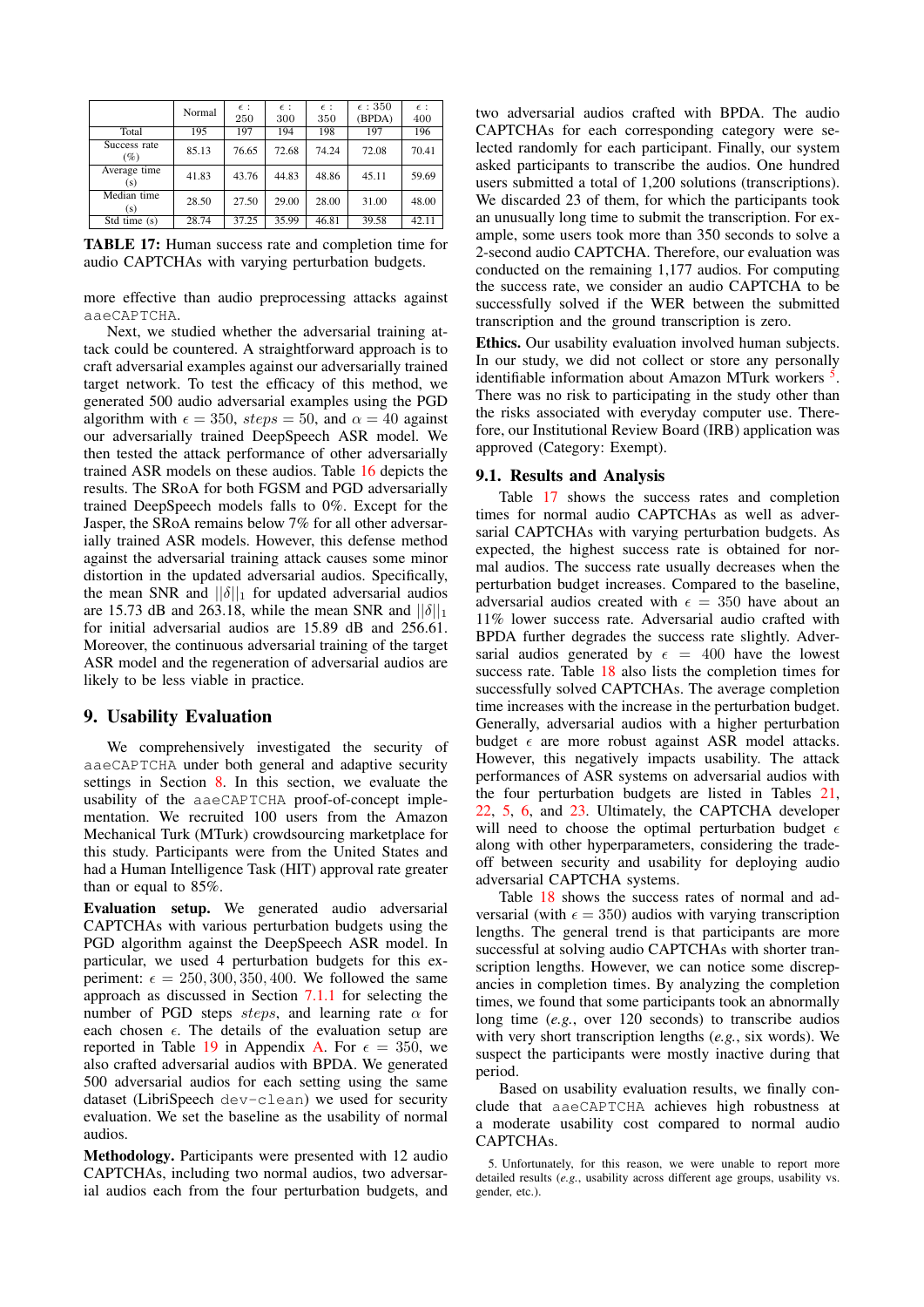<span id="page-12-2"></span>

|                        | Normal | $\epsilon$ :<br>250 | $\epsilon$ :<br>300 | $\epsilon$ :<br>350 | $\epsilon$ : 350<br>(BPDA) | $\epsilon$ :<br>400 |
|------------------------|--------|---------------------|---------------------|---------------------|----------------------------|---------------------|
| Total                  | 195    | 197                 | 194                 | 198                 | 197                        | 196                 |
| Success rate<br>$(\%)$ | 85.13  | 76.65               | 72.68               | 74.24               | 72.08                      | 70.41               |
| Average time<br>(s)    | 41.83  | 43.76               | 44.83               | 48.86               | 45.11                      | 59.69               |
| Median time<br>(s)     | 28.50  | 27.50               | 29.00               | 28.00               | 31.00                      | 48.00               |
| Std time $(s)$         | 28.74  | 37.25               | 35.99               | 46.81               | 39.58                      | 42.11               |

TABLE 17: Human success rate and completion time for audio CAPTCHAs with varying perturbation budgets.

more effective than audio preprocessing attacks against aaeCAPTCHA.

Next, we studied whether the adversarial training attack could be countered. A straightforward approach is to craft adversarial examples against our adversarially trained target network. To test the efficacy of this method, we generated 500 audio adversarial examples using the PGD algorithm with  $\epsilon = 350$ ,  $steps = 50$ , and  $\alpha = 40$  against our adversarially trained DeepSpeech ASR model. We then tested the attack performance of other adversarially trained ASR models on these audios. Table [16](#page-11-4) depicts the results. The SRoA for both FGSM and PGD adversarially trained DeepSpeech models falls to 0%. Except for the Jasper, the SRoA remains below 7% for all other adversarially trained ASR models. However, this defense method against the adversarial training attack causes some minor distortion in the updated adversarial audios. Specifically, the mean SNR and  $||\delta||_1$  for updated adversarial audios are 15.73 dB and 263.18, while the mean SNR and  $||\delta||_1$ for initial adversarial audios are 15.89 dB and 256.61. Moreover, the continuous adversarial training of the target ASR model and the regeneration of adversarial audios are likely to be less viable in practice.

### <span id="page-12-0"></span>9. Usability Evaluation

We comprehensively investigated the security of aaeCAPTCHA under both general and adaptive security settings in Section [8.](#page-7-3) In this section, we evaluate the usability of the aaeCAPTCHA proof-of-concept implementation. We recruited 100 users from the Amazon Mechanical Turk (MTurk) crowdsourcing marketplace for this study. Participants were from the United States and had a Human Intelligence Task (HIT) approval rate greater than or equal to 85%.

Evaluation setup. We generated audio adversarial CAPTCHAs with various perturbation budgets using the PGD algorithm against the DeepSpeech ASR model. In particular, we used 4 perturbation budgets for this experiment:  $\epsilon = 250, 300, 350, 400$ . We followed the same approach as discussed in Section [7.1.1](#page-7-2) for selecting the number of PGD steps steps, and learning rate  $\alpha$  for each chosen  $\epsilon$ . The details of the evaluation setup are reported in Table [19](#page-16-26) in Appendix [A.](#page-16-23) For  $\epsilon = 350$ , we also crafted adversarial audios with BPDA. We generated 500 adversarial audios for each setting using the same dataset (LibriSpeech dev-clean) we used for security evaluation. We set the baseline as the usability of normal audios.

Methodology. Participants were presented with 12 audio CAPTCHAs, including two normal audios, two adversarial audios each from the four perturbation budgets, and two adversarial audios crafted with BPDA. The audio CAPTCHAs for each corresponding category were selected randomly for each participant. Finally, our system asked participants to transcribe the audios. One hundred users submitted a total of 1,200 solutions (transcriptions). We discarded 23 of them, for which the participants took an unusually long time to submit the transcription. For example, some users took more than 350 seconds to solve a 2-second audio CAPTCHA. Therefore, our evaluation was conducted on the remaining 1,177 audios. For computing the success rate, we consider an audio CAPTCHA to be successfully solved if the WER between the submitted transcription and the ground transcription is zero.

Ethics. Our usability evaluation involved human subjects. In our study, we did not collect or store any personally identifiable information about Amazon MTurk workers<sup>[5](#page-12-1)</sup>. There was no risk to participating in the study other than the risks associated with everyday computer use. Therefore, our Institutional Review Board (IRB) application was approved (Category: Exempt).

#### 9.1. Results and Analysis

Table [17](#page-12-2) shows the success rates and completion times for normal audio CAPTCHAs as well as adversarial CAPTCHAs with varying perturbation budgets. As expected, the highest success rate is obtained for normal audios. The success rate usually decreases when the perturbation budget increases. Compared to the baseline, adversarial audios created with  $\epsilon = 350$  have about an 11% lower success rate. Adversarial audio crafted with BPDA further degrades the success rate slightly. Adversarial audios generated by  $\epsilon = 400$  have the lowest success rate. Table [18](#page-13-0) also lists the completion times for successfully solved CAPTCHAs. The average completion time increases with the increase in the perturbation budget. Generally, adversarial audios with a higher perturbation budget  $\epsilon$  are more robust against ASR model attacks. However, this negatively impacts usability. The attack performances of ASR systems on adversarial audios with the four perturbation budgets are listed in Tables [21,](#page-17-1) [22,](#page-17-2) [5,](#page-8-0) [6,](#page-8-1) and [23.](#page-17-3) Ultimately, the CAPTCHA developer will need to choose the optimal perturbation budget  $\epsilon$ along with other hyperparameters, considering the tradeoff between security and usability for deploying audio adversarial CAPTCHA systems.

Table [18](#page-13-0) shows the success rates of normal and adversarial (with  $\epsilon = 350$ ) audios with varying transcription lengths. The general trend is that participants are more successful at solving audio CAPTCHAs with shorter transcription lengths. However, we can notice some discrepancies in completion times. By analyzing the completion times, we found that some participants took an abnormally long time (*e.g.*, over 120 seconds) to transcribe audios with very short transcription lengths (*e.g.*, six words). We suspect the participants were mostly inactive during that period.

Based on usability evaluation results, we finally conclude that aaeCAPTCHA achieves high robustness at a moderate usability cost compared to normal audio CAPTCHAs.

<span id="page-12-1"></span><sup>5.</sup> Unfortunately, for this reason, we were unable to report more detailed results (*e.g.*, usability across different age groups, usability vs. gender, etc.).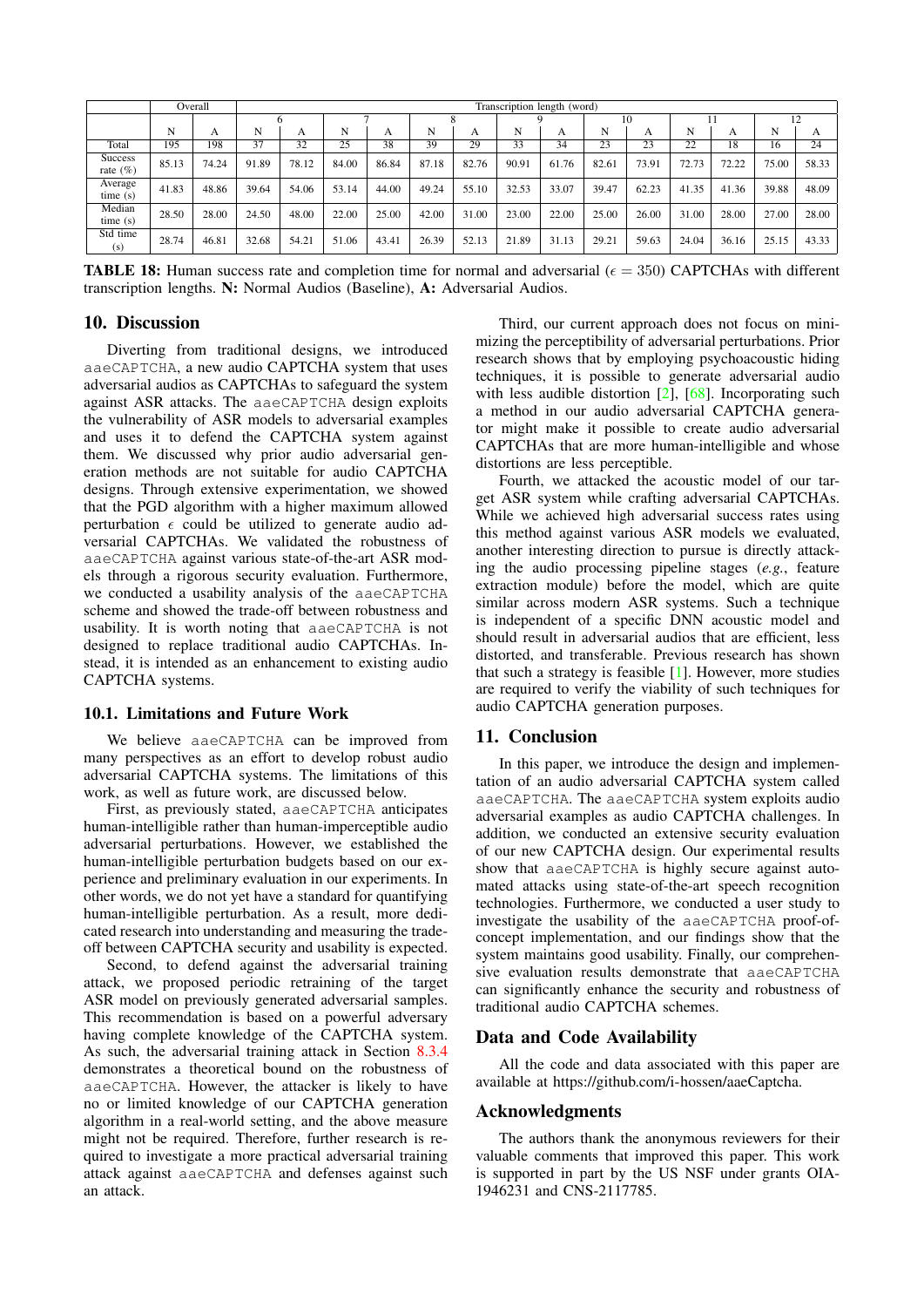<span id="page-13-0"></span>

|                               |       | Overall |       | Transcription length (word) |       |       |       |       |       |       |       |       |       |       |       |       |
|-------------------------------|-------|---------|-------|-----------------------------|-------|-------|-------|-------|-------|-------|-------|-------|-------|-------|-------|-------|
|                               |       |         |       |                             |       |       |       |       |       |       |       |       |       |       |       |       |
|                               | N     | А       | N     | A                           | N     | А     | N     | A     | N     | А     | N     | А     | N     | A     | N     | A     |
| Total                         | 195   | 198     | 37    | 32                          | 25    | 38    | 39    | 29    | 33    | 34    | 23    | 23    | 22    | 18    | 16    | 24    |
| <b>Success</b><br>rate $(\%)$ | 85.13 | 74.24   | 91.89 | 78.12                       | 84.00 | 86.84 | 87.18 | 82.76 | 90.91 | 61.76 | 82.61 | 73.91 | 72.73 | 72.22 | 75.00 | 58.33 |
| Average<br>time(s)            | 41.83 | 48.86   | 39.64 | 54.06                       | 53.14 | 44.00 | 49.24 | 55.10 | 32.53 | 33.07 | 39.47 | 62.23 | 41.35 | 41.36 | 39.88 | 48.09 |
| Median<br>time(s)             | 28.50 | 28.00   | 24.50 | 48.00                       | 22.00 | 25.00 | 42.00 | 31.00 | 23.00 | 22.00 | 25.00 | 26.00 | 31.00 | 28.00 | 27.00 | 28.00 |
| Std time<br>(s)               | 28.74 | 46.81   | 32.68 | 54.21                       | 51.06 | 43.41 | 26.39 | 52.13 | 21.89 | 31.13 | 29.21 | 59.63 | 24.04 | 36.16 | 25.15 | 43.33 |

**TABLE 18:** Human success rate and completion time for normal and adversarial ( $\epsilon = 350$ ) CAPTCHAs with different transcription lengths. N: Normal Audios (Baseline), A: Adversarial Audios.

### 10. Discussion

Diverting from traditional designs, we introduced aaeCAPTCHA, a new audio CAPTCHA system that uses adversarial audios as CAPTCHAs to safeguard the system against ASR attacks. The aaeCAPTCHA design exploits the vulnerability of ASR models to adversarial examples and uses it to defend the CAPTCHA system against them. We discussed why prior audio adversarial generation methods are not suitable for audio CAPTCHA designs. Through extensive experimentation, we showed that the PGD algorithm with a higher maximum allowed perturbation  $\epsilon$  could be utilized to generate audio adversarial CAPTCHAs. We validated the robustness of aaeCAPTCHA against various state-of-the-art ASR models through a rigorous security evaluation. Furthermore, we conducted a usability analysis of the aaeCAPTCHA scheme and showed the trade-off between robustness and usability. It is worth noting that aaeCAPTCHA is not designed to replace traditional audio CAPTCHAs. Instead, it is intended as an enhancement to existing audio CAPTCHA systems.

#### 10.1. Limitations and Future Work

We believe aaeCAPTCHA can be improved from many perspectives as an effort to develop robust audio adversarial CAPTCHA systems. The limitations of this work, as well as future work, are discussed below.

First, as previously stated, aaeCAPTCHA anticipates human-intelligible rather than human-imperceptible audio adversarial perturbations. However, we established the human-intelligible perturbation budgets based on our experience and preliminary evaluation in our experiments. In other words, we do not yet have a standard for quantifying human-intelligible perturbation. As a result, more dedicated research into understanding and measuring the tradeoff between CAPTCHA security and usability is expected.

Second, to defend against the adversarial training attack, we proposed periodic retraining of the target ASR model on previously generated adversarial samples. This recommendation is based on a powerful adversary having complete knowledge of the CAPTCHA system. As such, the adversarial training attack in Section [8.3.4](#page-11-0) demonstrates a theoretical bound on the robustness of aaeCAPTCHA. However, the attacker is likely to have no or limited knowledge of our CAPTCHA generation algorithm in a real-world setting, and the above measure might not be required. Therefore, further research is required to investigate a more practical adversarial training attack against aaeCAPTCHA and defenses against such an attack.

Third, our current approach does not focus on minimizing the perceptibility of adversarial perturbations. Prior research shows that by employing psychoacoustic hiding techniques, it is possible to generate adversarial audio with less audible distortion [\[2\]](#page-14-33), [\[68\]](#page-15-6). Incorporating such a method in our audio adversarial CAPTCHA generator might make it possible to create audio adversarial CAPTCHAs that are more human-intelligible and whose distortions are less perceptible.

Fourth, we attacked the acoustic model of our target ASR system while crafting adversarial CAPTCHAs. While we achieved high adversarial success rates using this method against various ASR models we evaluated, another interesting direction to pursue is directly attacking the audio processing pipeline stages (*e.g.*, feature extraction module) before the model, which are quite similar across modern ASR systems. Such a technique is independent of a specific DNN acoustic model and should result in adversarial audios that are efficient, less distorted, and transferable. Previous research has shown that such a strategy is feasible  $[1]$ . However, more studies are required to verify the viability of such techniques for audio CAPTCHA generation purposes.

### 11. Conclusion

In this paper, we introduce the design and implementation of an audio adversarial CAPTCHA system called aaeCAPTCHA. The aaeCAPTCHA system exploits audio adversarial examples as audio CAPTCHA challenges. In addition, we conducted an extensive security evaluation of our new CAPTCHA design. Our experimental results show that aaeCAPTCHA is highly secure against automated attacks using state-of-the-art speech recognition technologies. Furthermore, we conducted a user study to investigate the usability of the aaeCAPTCHA proof-ofconcept implementation, and our findings show that the system maintains good usability. Finally, our comprehensive evaluation results demonstrate that aaeCAPTCHA can significantly enhance the security and robustness of traditional audio CAPTCHA schemes.

### Data and Code Availability

All the code and data associated with this paper are available at [https://github.com/i-hossen/aaeCaptcha.](https://github.com/i-hossen/aaeCaptcha)

### Acknowledgments

The authors thank the anonymous reviewers for their valuable comments that improved this paper. This work is supported in part by the US NSF under grants OIA-1946231 and CNS-2117785.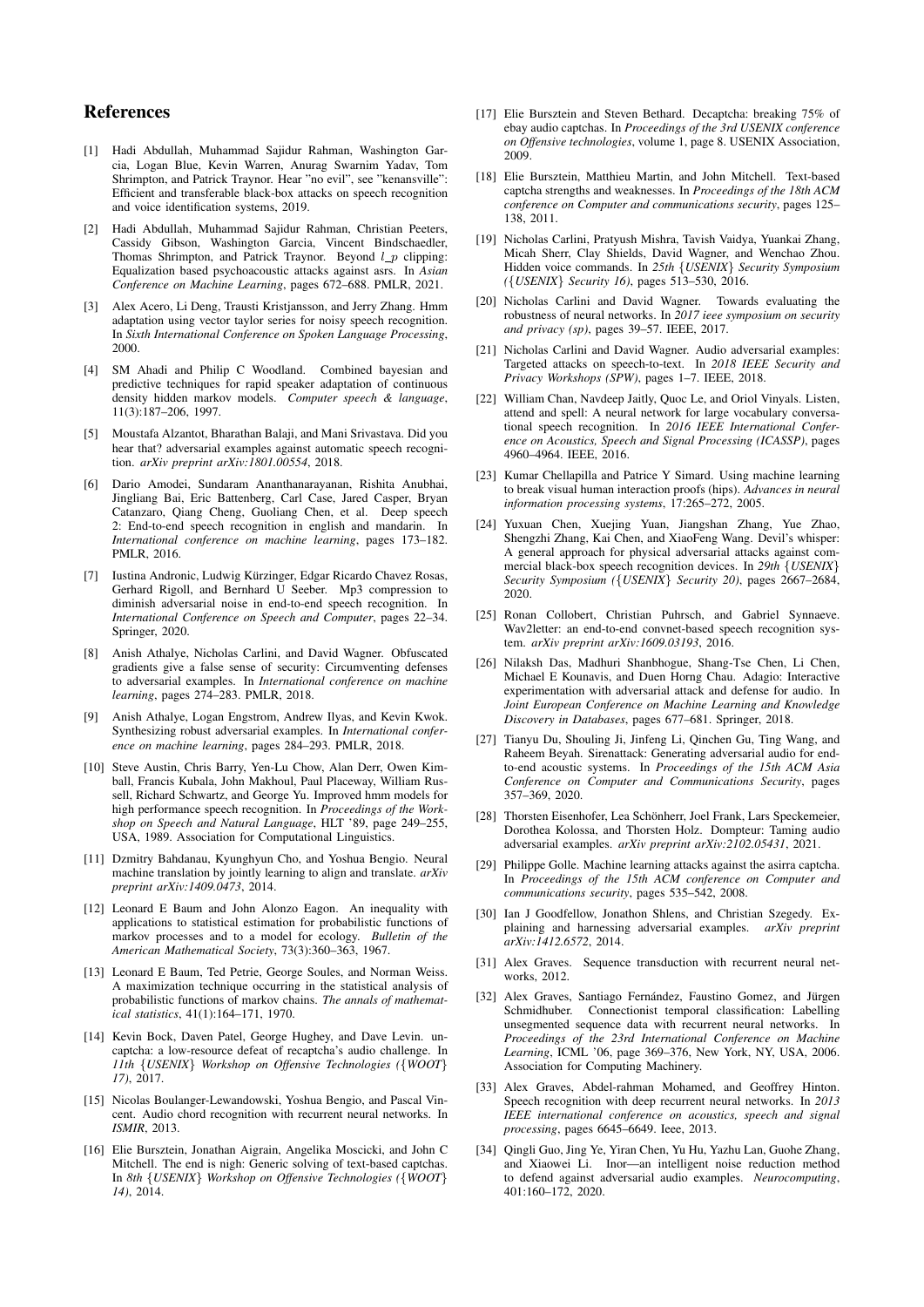### References

- <span id="page-14-9"></span>[1] Hadi Abdullah, Muhammad Sajidur Rahman, Washington Garcia, Logan Blue, Kevin Warren, Anurag Swarnim Yadav, Tom Shrimpton, and Patrick Traynor. Hear "no evil", see "kenansville": Efficient and transferable black-box attacks on speech recognition and voice identification systems, 2019.
- <span id="page-14-33"></span>[2] Hadi Abdullah, Muhammad Sajidur Rahman, Christian Peeters, Cassidy Gibson, Washington Garcia, Vincent Bindschaedler, Thomas Shrimpton, and Patrick Traynor. Beyond  $l_p$  clipping: Equalization based psychoacoustic attacks against asrs. In *Asian Conference on Machine Learning*, pages 672–688. PMLR, 2021.
- <span id="page-14-17"></span>[3] Alex Acero, Li Deng, Trausti Kristjansson, and Jerry Zhang. Hmm adaptation using vector taylor series for noisy speech recognition. In *Sixth International Conference on Spoken Language Processing*, 2000.
- <span id="page-14-18"></span>[4] SM Ahadi and Philip C Woodland. Combined bayesian and predictive techniques for rapid speaker adaptation of continuous density hidden markov models. *Computer speech & language*, 11(3):187–206, 1997.
- <span id="page-14-15"></span>[5] Moustafa Alzantot, Bharathan Balaji, and Mani Srivastava. Did you hear that? adversarial examples against automatic speech recognition. *arXiv preprint arXiv:1801.00554*, 2018.
- <span id="page-14-25"></span>[6] Dario Amodei, Sundaram Ananthanarayanan, Rishita Anubhai, Jingliang Bai, Eric Battenberg, Carl Case, Jared Casper, Bryan Catanzaro, Qiang Cheng, Guoliang Chen, et al. Deep speech 2: End-to-end speech recognition in english and mandarin. In *International conference on machine learning*, pages 173–182. PMLR, 2016.
- <span id="page-14-30"></span>[7] Iustina Andronic, Ludwig Kürzinger, Edgar Ricardo Chavez Rosas, Gerhard Rigoll, and Bernhard U Seeber. Mp3 compression to diminish adversarial noise in end-to-end speech recognition. In *International Conference on Speech and Computer*, pages 22–34. Springer, 2020.
- <span id="page-14-31"></span>[8] Anish Athalye, Nicholas Carlini, and David Wagner. Obfuscated gradients give a false sense of security: Circumventing defenses to adversarial examples. In *International conference on machine learning*, pages 274–283. PMLR, 2018.
- <span id="page-14-32"></span>[9] Anish Athalye, Logan Engstrom, Andrew Ilyas, and Kevin Kwok. Synthesizing robust adversarial examples. In *International conference on machine learning*, pages 284–293. PMLR, 2018.
- <span id="page-14-10"></span>[10] Steve Austin, Chris Barry, Yen-Lu Chow, Alan Derr, Owen Kimball, Francis Kubala, John Makhoul, Paul Placeway, William Russell, Richard Schwartz, and George Yu. Improved hmm models for high performance speech recognition. In *Proceedings of the Workshop on Speech and Natural Language*, HLT '89, page 249–255, USA, 1989. Association for Computational Linguistics.
- <span id="page-14-27"></span>[11] Dzmitry Bahdanau, Kyunghyun Cho, and Yoshua Bengio. Neural machine translation by jointly learning to align and translate. *arXiv preprint arXiv:1409.0473*, 2014.
- <span id="page-14-19"></span>[12] Leonard E Baum and John Alonzo Eagon. An inequality with applications to statistical estimation for probabilistic functions of markov processes and to a model for ecology. *Bulletin of the American Mathematical Society*, 73(3):360–363, 1967.
- <span id="page-14-20"></span>[13] Leonard E Baum, Ted Petrie, George Soules, and Norman Weiss. A maximization technique occurring in the statistical analysis of probabilistic functions of markov chains. *The annals of mathematical statistics*, 41(1):164–171, 1970.
- <span id="page-14-4"></span>[14] Kevin Bock, Daven Patel, George Hughey, and Dave Levin. uncaptcha: a low-resource defeat of recaptcha's audio challenge. In *11th* {*USENIX*} *Workshop on Offensive Technologies (*{*WOOT*} *17)*, 2017.
- <span id="page-14-13"></span>[15] Nicolas Boulanger-Lewandowski, Yoshua Bengio, and Pascal Vincent. Audio chord recognition with recurrent neural networks. In *ISMIR*, 2013.
- <span id="page-14-0"></span>[16] Elie Bursztein, Jonathan Aigrain, Angelika Moscicki, and John C Mitchell. The end is nigh: Generic solving of text-based captchas. In *8th* {*USENIX*} *Workshop on Offensive Technologies (*{*WOOT*} *14)*, 2014.
- <span id="page-14-5"></span>[17] Elie Bursztein and Steven Bethard. Decaptcha: breaking 75% of ebay audio captchas. In *Proceedings of the 3rd USENIX conference on Offensive technologies*, volume 1, page 8. USENIX Association, 2009.
- <span id="page-14-1"></span>[18] Elie Bursztein, Matthieu Martin, and John Mitchell. Text-based captcha strengths and weaknesses. In *Proceedings of the 18th ACM conference on Computer and communications security*, pages 125– 138, 2011.
- <span id="page-14-16"></span>[19] Nicholas Carlini, Pratyush Mishra, Tavish Vaidya, Yuankai Zhang, Micah Sherr, Clay Shields, David Wagner, and Wenchao Zhou. Hidden voice commands. In *25th* {*USENIX*} *Security Symposium (*{*USENIX*} *Security 16)*, pages 513–530, 2016.
- <span id="page-14-6"></span>[20] Nicholas Carlini and David Wagner. Towards evaluating the robustness of neural networks. In *2017 ieee symposium on security and privacy (sp)*, pages 39–57. IEEE, 2017.
- <span id="page-14-8"></span>[21] Nicholas Carlini and David Wagner. Audio adversarial examples: Targeted attacks on speech-to-text. In *2018 IEEE Security and Privacy Workshops (SPW)*, pages 1–7. IEEE, 2018.
- <span id="page-14-28"></span>[22] William Chan, Navdeep Jaitly, Quoc Le, and Oriol Vinyals. Listen, attend and spell: A neural network for large vocabulary conversational speech recognition. In *2016 IEEE International Conference on Acoustics, Speech and Signal Processing (ICASSP)*, pages 4960–4964. IEEE, 2016.
- <span id="page-14-2"></span>[23] Kumar Chellapilla and Patrice Y Simard. Using machine learning to break visual human interaction proofs (hips). *Advances in neural information processing systems*, 17:265–272, 2005.
- <span id="page-14-22"></span>[24] Yuxuan Chen, Xuejing Yuan, Jiangshan Zhang, Yue Zhao, Shengzhi Zhang, Kai Chen, and XiaoFeng Wang. Devil's whisper: A general approach for physical adversarial attacks against commercial black-box speech recognition devices. In *29th* {*USENIX*} *Security Symposium (*{*USENIX*} *Security 20)*, pages 2667–2684, 2020.
- <span id="page-14-26"></span>[25] Ronan Collobert, Christian Puhrsch, and Gabriel Synnaeve. Wav2letter: an end-to-end convnet-based speech recognition system. *arXiv preprint arXiv:1609.03193*, 2016.
- <span id="page-14-24"></span>[26] Nilaksh Das, Madhuri Shanbhogue, Shang-Tse Chen, Li Chen, Michael E Kounavis, and Duen Horng Chau. Adagio: Interactive experimentation with adversarial attack and defense for audio. In *Joint European Conference on Machine Learning and Knowledge Discovery in Databases*, pages 677–681. Springer, 2018.
- <span id="page-14-21"></span>[27] Tianyu Du, Shouling Ji, Jinfeng Li, Qinchen Gu, Ting Wang, and Raheem Beyah. Sirenattack: Generating adversarial audio for endto-end acoustic systems. In *Proceedings of the 15th ACM Asia Conference on Computer and Communications Security*, pages 357–369, 2020.
- <span id="page-14-29"></span>[28] Thorsten Eisenhofer, Lea Schönherr, Joel Frank, Lars Speckemeier, Dorothea Kolossa, and Thorsten Holz. Dompteur: Taming audio adversarial examples. *arXiv preprint arXiv:2102.05431*, 2021.
- <span id="page-14-3"></span>[29] Philippe Golle. Machine learning attacks against the asirra captcha. In *Proceedings of the 15th ACM conference on Computer and communications security*, pages 535–542, 2008.
- <span id="page-14-7"></span>[30] Ian J Goodfellow, Jonathon Shlens, and Christian Szegedy. Explaining and harnessing adversarial examples. *arXiv preprint arXiv:1412.6572*, 2014.
- <span id="page-14-14"></span>[31] Alex Graves. Sequence transduction with recurrent neural networks, 2012.
- <span id="page-14-12"></span>[32] Alex Graves, Santiago Fernández, Faustino Gomez, and Jürgen Schmidhuber. Connectionist temporal classification: Labelling unsegmented sequence data with recurrent neural networks. In *Proceedings of the 23rd International Conference on Machine Learning*, ICML '06, page 369–376, New York, NY, USA, 2006. Association for Computing Machinery.
- <span id="page-14-11"></span>[33] Alex Graves, Abdel-rahman Mohamed, and Geoffrey Hinton. Speech recognition with deep recurrent neural networks. In *2013 IEEE international conference on acoustics, speech and signal processing*, pages 6645–6649. Ieee, 2013.
- <span id="page-14-23"></span>[34] Qingli Guo, Jing Ye, Yiran Chen, Yu Hu, Yazhu Lan, Guohe Zhang, and Xiaowei Li. Inor—an intelligent noise reduction method to defend against adversarial audio examples. *Neurocomputing*, 401:160–172, 2020.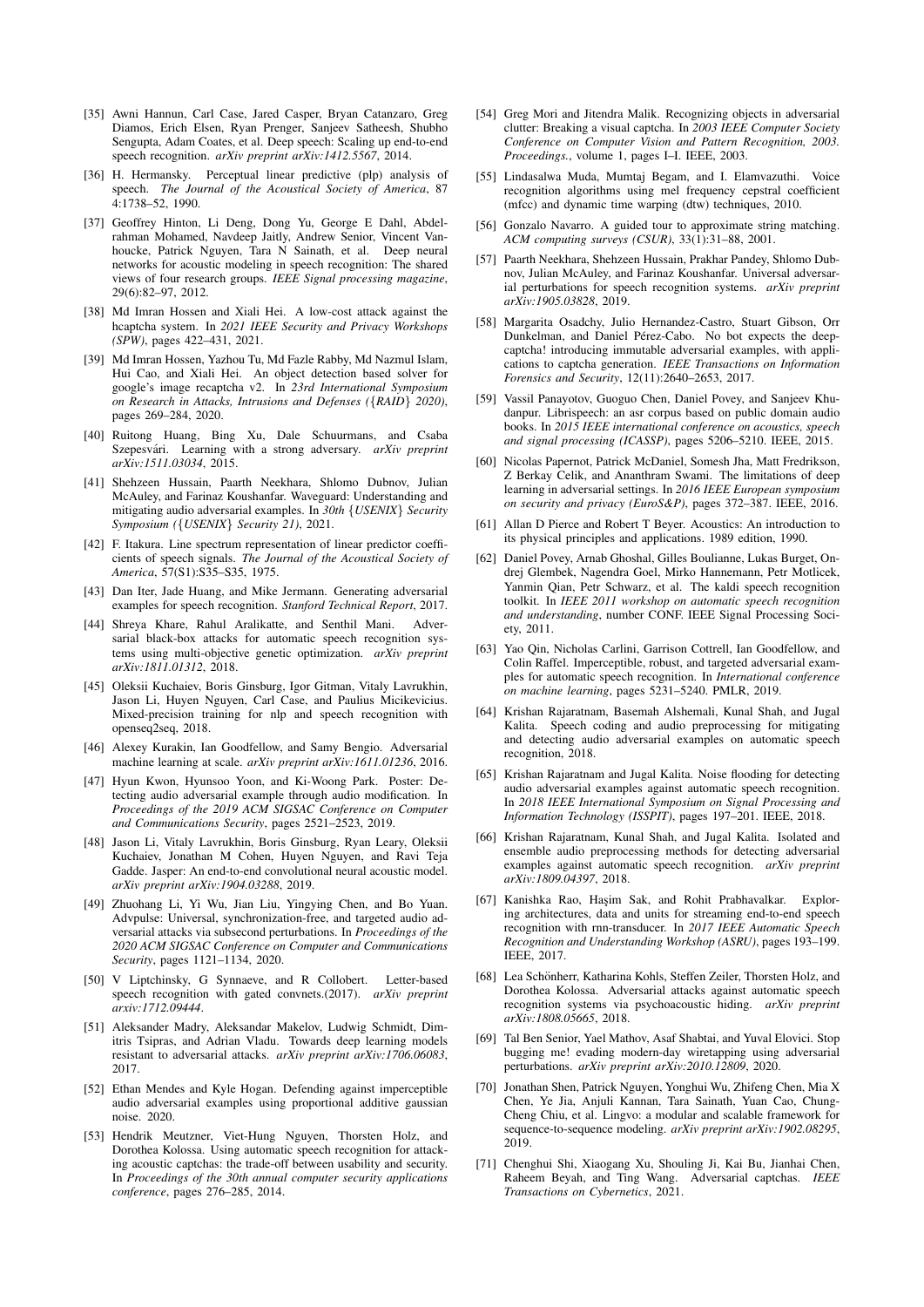- <span id="page-15-18"></span>[35] Awni Hannun, Carl Case, Jared Casper, Bryan Catanzaro, Greg Diamos, Erich Elsen, Ryan Prenger, Sanjeev Satheesh, Shubho Sengupta, Adam Coates, et al. Deep speech: Scaling up end-to-end speech recognition. *arXiv preprint arXiv:1412.5567*, 2014.
- <span id="page-15-14"></span>[36] H. Hermansky. Perceptual linear predictive (plp) analysis of speech. *The Journal of the Acoustical Society of America*, 87 4:1738–52, 1990.
- <span id="page-15-15"></span>[37] Geoffrey Hinton, Li Deng, Dong Yu, George E Dahl, Abdelrahman Mohamed, Navdeep Jaitly, Andrew Senior, Vincent Vanhoucke, Patrick Nguyen, Tara N Sainath, et al. Deep neural networks for acoustic modeling in speech recognition: The shared views of four research groups. *IEEE Signal processing magazine*, 29(6):82–97, 2012.
- <span id="page-15-1"></span>[38] Md Imran Hossen and Xiali Hei. A low-cost attack against the hcaptcha system. In *2021 IEEE Security and Privacy Workshops (SPW)*, pages 422–431, 2021.
- <span id="page-15-2"></span>[39] Md Imran Hossen, Yazhou Tu, Md Fazle Rabby, Md Nazmul Islam, Hui Cao, and Xiali Hei. An object detection based solver for google's image recaptcha v2. In *23rd International Symposium on Research in Attacks, Intrusions and Defenses (*{*RAID*} *2020)*, pages 269–284, 2020.
- <span id="page-15-35"></span>[40] Ruitong Huang, Bing Xu, Dale Schuurmans, and Csaba Szepesvári. Learning with a strong adversary. *arXiv preprint arXiv:1511.03034*, 2015.
- <span id="page-15-7"></span>[41] Shehzeen Hussain, Paarth Neekhara, Shlomo Dubnov, Julian McAuley, and Farinaz Koushanfar. Waveguard: Understanding and mitigating audio adversarial examples. In *30th* {*USENIX*} *Security Symposium (*{*USENIX*} *Security 21)*, 2021.
- <span id="page-15-13"></span>[42] F. Itakura. Line spectrum representation of linear predictor coefficients of speech signals. *The Journal of the Acoustical Society of America*, 57(S1):S35–S35, 1975.
- <span id="page-15-17"></span>[43] Dan Iter, Jade Huang, and Mike Jermann. Generating adversarial examples for speech recognition. *Stanford Technical Report*, 2017.
- <span id="page-15-19"></span>[44] Shreya Khare, Rahul Aralikatte, and Senthil Mani. Adversarial black-box attacks for automatic speech recognition systems using multi-objective genetic optimization. *arXiv preprint arXiv:1811.01312*, 2018.
- <span id="page-15-33"></span>[45] Oleksii Kuchaiev, Boris Ginsburg, Igor Gitman, Vitaly Lavrukhin, Jason Li, Huyen Nguyen, Carl Case, and Paulius Micikevicius. Mixed-precision training for nlp and speech recognition with openseq2seq, 2018.
- <span id="page-15-36"></span>[46] Alexey Kurakin, Ian Goodfellow, and Samy Bengio. Adversarial machine learning at scale. *arXiv preprint arXiv:1611.01236*, 2016.
- <span id="page-15-8"></span>[47] Hyun Kwon, Hyunsoo Yoon, and Ki-Woong Park. Poster: Detecting audio adversarial example through audio modification. In *Proceedings of the 2019 ACM SIGSAC Conference on Computer and Communications Security*, pages 2521–2523, 2019.
- <span id="page-15-29"></span>[48] Jason Li, Vitaly Lavrukhin, Boris Ginsburg, Ryan Leary, Oleksii Kuchaiev, Jonathan M Cohen, Huyen Nguyen, and Ravi Teja Gadde. Jasper: An end-to-end convolutional neural acoustic model. *arXiv preprint arXiv:1904.03288*, 2019.
- <span id="page-15-20"></span>[49] Zhuohang Li, Yi Wu, Jian Liu, Yingying Chen, and Bo Yuan. Advpulse: Universal, synchronization-free, and targeted audio adversarial attacks via subsecond perturbations. In *Proceedings of the 2020 ACM SIGSAC Conference on Computer and Communications Security*, pages 1121–1134, 2020.
- <span id="page-15-30"></span>[50] V Liptchinsky, G Synnaeve, and R Collobert. Letter-based speech recognition with gated convnets.(2017). *arXiv preprint arxiv:1712.09444*.
- <span id="page-15-26"></span>[51] Aleksander Madry, Aleksandar Makelov, Ludwig Schmidt, Dimitris Tsipras, and Adrian Vladu. Towards deep learning models resistant to adversarial attacks. *arXiv preprint arXiv:1706.06083*, 2017.
- <span id="page-15-24"></span>[52] Ethan Mendes and Kyle Hogan. Defending against imperceptible audio adversarial examples using proportional additive gaussian noise. 2020.
- <span id="page-15-3"></span>[53] Hendrik Meutzner, Viet-Hung Nguyen, Thorsten Holz, and Dorothea Kolossa. Using automatic speech recognition for attacking acoustic captchas: the trade-off between usability and security. In *Proceedings of the 30th annual computer security applications conference*, pages 276–285, 2014.
- <span id="page-15-0"></span>[54] Greg Mori and Jitendra Malik. Recognizing objects in adversarial clutter: Breaking a visual captcha. In *2003 IEEE Computer Society Conference on Computer Vision and Pattern Recognition, 2003. Proceedings.*, volume 1, pages I–I. IEEE, 2003.
- <span id="page-15-12"></span>[55] Lindasalwa Muda, Mumtaj Begam, and I. Elamvazuthi. Voice recognition algorithms using mel frequency cepstral coefficient (mfcc) and dynamic time warping (dtw) techniques, 2010.
- <span id="page-15-27"></span>[56] Gonzalo Navarro. A guided tour to approximate string matching. *ACM computing surveys (CSUR)*, 33(1):31–88, 2001.
- <span id="page-15-21"></span>[57] Paarth Neekhara, Shehzeen Hussain, Prakhar Pandey, Shlomo Dubnov, Julian McAuley, and Farinaz Koushanfar. Universal adversarial perturbations for speech recognition systems. *arXiv preprint arXiv:1905.03828*, 2019.
- <span id="page-15-9"></span>[58] Margarita Osadchy, Julio Hernandez-Castro, Stuart Gibson, Orr Dunkelman, and Daniel Pérez-Cabo. No bot expects the deepcaptcha! introducing immutable adversarial examples, with applications to captcha generation. *IEEE Transactions on Information Forensics and Security*, 12(11):2640–2653, 2017.
- <span id="page-15-28"></span>[59] Vassil Panayotov, Guoguo Chen, Daniel Povey, and Sanjeev Khudanpur. Librispeech: an asr corpus based on public domain audio books. In *2015 IEEE international conference on acoustics, speech and signal processing (ICASSP)*, pages 5206–5210. IEEE, 2015.
- <span id="page-15-4"></span>[60] Nicolas Papernot, Patrick McDaniel, Somesh Jha, Matt Fredrikson, Z Berkay Celik, and Ananthram Swami. The limitations of deep learning in adversarial settings. In *2016 IEEE European symposium on security and privacy (EuroS&P)*, pages 372–387. IEEE, 2016.
- <span id="page-15-11"></span>[61] Allan D Pierce and Robert T Beyer. Acoustics: An introduction to its physical principles and applications. 1989 edition, 1990.
- <span id="page-15-32"></span>[62] Daniel Povey, Arnab Ghoshal, Gilles Boulianne, Lukas Burget, Ondrej Glembek, Nagendra Goel, Mirko Hannemann, Petr Motlicek, Yanmin Qian, Petr Schwarz, et al. The kaldi speech recognition toolkit. In *IEEE 2011 workshop on automatic speech recognition and understanding*, number CONF. IEEE Signal Processing Society, 2011.
- <span id="page-15-5"></span>[63] Yao Qin, Nicholas Carlini, Garrison Cottrell, Ian Goodfellow, and Colin Raffel. Imperceptible, robust, and targeted adversarial examples for automatic speech recognition. In *International conference on machine learning*, pages 5231–5240. PMLR, 2019.
- <span id="page-15-34"></span>[64] Krishan Rajaratnam, Basemah Alshemali, Kunal Shah, and Jugal Kalita. Speech coding and audio preprocessing for mitigating and detecting audio adversarial examples on automatic speech recognition, 2018.
- <span id="page-15-25"></span>[65] Krishan Rajaratnam and Jugal Kalita. Noise flooding for detecting audio adversarial examples against automatic speech recognition. In *2018 IEEE International Symposium on Signal Processing and Information Technology (ISSPIT)*, pages 197–201. IEEE, 2018.
- <span id="page-15-23"></span>[66] Krishan Rajaratnam, Kunal Shah, and Jugal Kalita. Isolated and ensemble audio preprocessing methods for detecting adversarial examples against automatic speech recognition. *arXiv preprint arXiv:1809.04397*, 2018.
- <span id="page-15-16"></span>[67] Kanishka Rao, Haşim Sak, and Rohit Prabhavalkar. Exploring architectures, data and units for streaming end-to-end speech recognition with rnn-transducer. In *2017 IEEE Automatic Speech Recognition and Understanding Workshop (ASRU)*, pages 193–199. IEEE, 2017.
- <span id="page-15-6"></span>[68] Lea Schönherr, Katharina Kohls, Steffen Zeiler, Thorsten Holz, and Dorothea Kolossa. Adversarial attacks against automatic speech recognition systems via psychoacoustic hiding. *arXiv preprint arXiv:1808.05665*, 2018.
- <span id="page-15-22"></span>[69] Tal Ben Senior, Yael Mathov, Asaf Shabtai, and Yuval Elovici. Stop bugging me! evading modern-day wiretapping using adversarial perturbations. *arXiv preprint arXiv:2010.12809*, 2020.
- <span id="page-15-31"></span>[70] Jonathan Shen, Patrick Nguyen, Yonghui Wu, Zhifeng Chen, Mia X Chen, Ye Jia, Anjuli Kannan, Tara Sainath, Yuan Cao, Chung-Cheng Chiu, et al. Lingvo: a modular and scalable framework for sequence-to-sequence modeling. *arXiv preprint arXiv:1902.08295*, 2019.
- <span id="page-15-10"></span>[71] Chenghui Shi, Xiaogang Xu, Shouling Ji, Kai Bu, Jianhai Chen, Raheem Beyah, and Ting Wang. Adversarial captchas. *IEEE Transactions on Cybernetics*, 2021.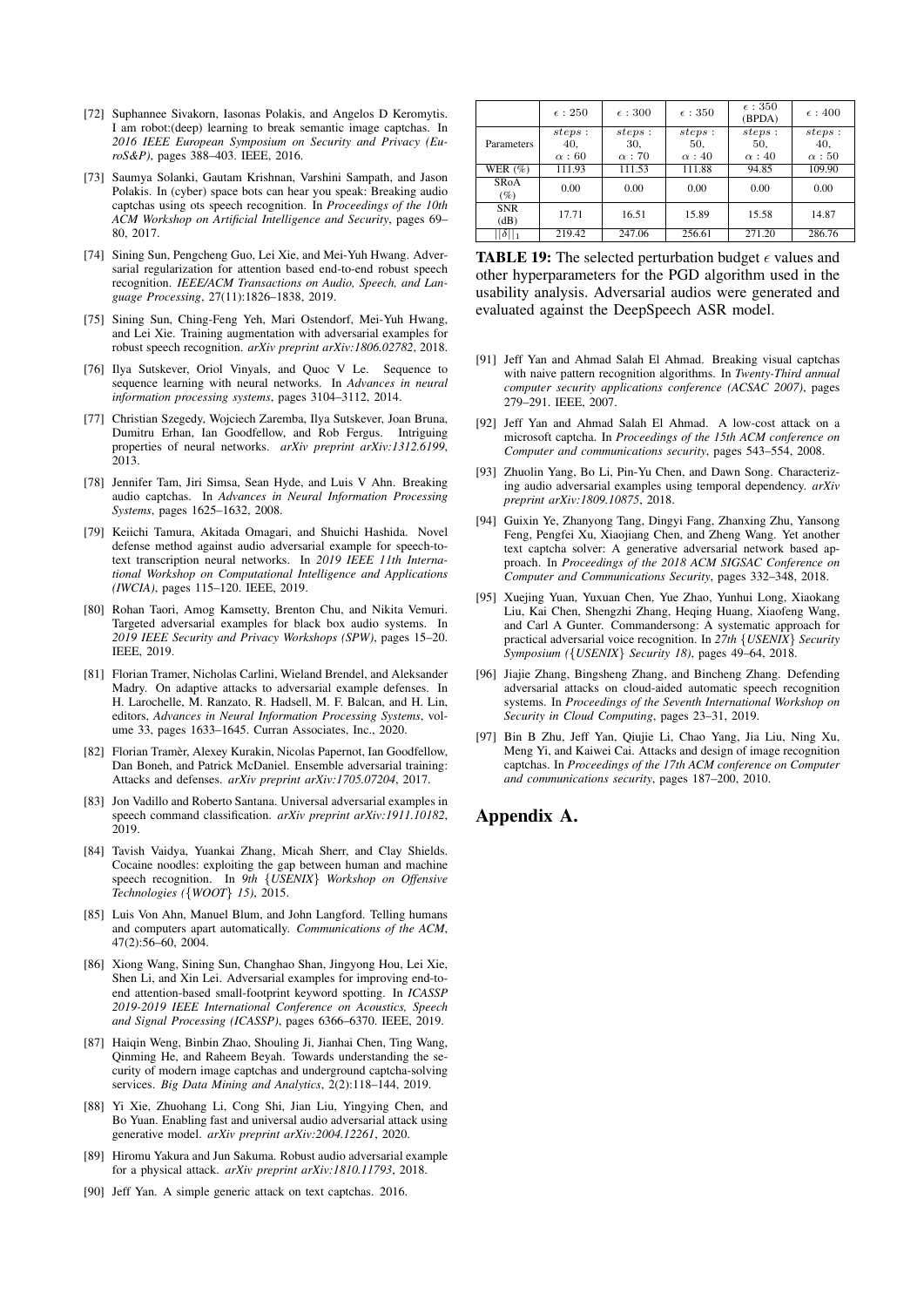- <span id="page-16-4"></span>[72] Suphannee Sivakorn, Iasonas Polakis, and Angelos D Keromytis. I am robot:(deep) learning to break semantic image captchas. In *2016 IEEE European Symposium on Security and Privacy (EuroS&P)*, pages 388–403. IEEE, 2016.
- <span id="page-16-7"></span>[73] Saumya Solanki, Gautam Krishnan, Varshini Sampath, and Jason Polakis. In (cyber) space bots can hear you speak: Breaking audio captchas using ots speech recognition. In *Proceedings of the 10th ACM Workshop on Artificial Intelligence and Security*, pages 69– 80, 2017.
- <span id="page-16-20"></span>[74] Sining Sun, Pengcheng Guo, Lei Xie, and Mei-Yuh Hwang. Adversarial regularization for attention based end-to-end robust speech recognition. *IEEE/ACM Transactions on Audio, Speech, and Language Processing*, 27(11):1826–1838, 2019.
- <span id="page-16-21"></span>[75] Sining Sun, Ching-Feng Yeh, Mari Ostendorf, Mei-Yuh Hwang, and Lei Xie. Training augmentation with adversarial examples for robust speech recognition. *arXiv preprint arXiv:1806.02782*, 2018.
- <span id="page-16-10"></span>[76] Ilya Sutskever, Oriol Vinyals, and Quoc V Le. Sequence to sequence learning with neural networks. In *Advances in neural information processing systems*, pages 3104–3112, 2014.
- <span id="page-16-19"></span>[77] Christian Szegedy, Wojciech Zaremba, Ilya Sutskever, Joan Bruna, Dumitru Erhan, Ian Goodfellow, and Rob Fergus. Intriguing properties of neural networks. *arXiv preprint arXiv:1312.6199*, 2013.
- <span id="page-16-8"></span>[78] Jennifer Tam, Jiri Simsa, Sean Hyde, and Luis V Ahn. Breaking audio captchas. In *Advances in Neural Information Processing Systems*, pages 1625–1632, 2008.
- <span id="page-16-17"></span>[79] Keiichi Tamura, Akitada Omagari, and Shuichi Hashida. Novel defense method against audio adversarial example for speech-totext transcription neural networks. In *2019 IEEE 11th International Workshop on Computational Intelligence and Applications (IWCIA)*, pages 115–120. IEEE, 2019.
- <span id="page-16-14"></span>[80] Rohan Taori, Amog Kamsetty, Brenton Chu, and Nikita Vemuri. Targeted adversarial examples for black box audio systems. In *2019 IEEE Security and Privacy Workshops (SPW)*, pages 15–20. IEEE, 2019.
- <span id="page-16-24"></span>[81] Florian Tramer, Nicholas Carlini, Wieland Brendel, and Aleksander Madry. On adaptive attacks to adversarial example defenses. In H. Larochelle, M. Ranzato, R. Hadsell, M. F. Balcan, and H. Lin, editors, *Advances in Neural Information Processing Systems*, volume 33, pages 1633–1645. Curran Associates, Inc., 2020.
- <span id="page-16-25"></span>[82] Florian Tramèr, Alexey Kurakin, Nicolas Papernot, Ian Goodfellow, Dan Boneh, and Patrick McDaniel. Ensemble adversarial training: Attacks and defenses. *arXiv preprint arXiv:1705.07204*, 2017.
- <span id="page-16-15"></span>[83] Jon Vadillo and Roberto Santana. Universal adversarial examples in speech command classification. *arXiv preprint arXiv:1911.10182*, 2019.
- <span id="page-16-11"></span>[84] Tavish Vaidya, Yuankai Zhang, Micah Sherr, and Clay Shields. Cocaine noodles: exploiting the gap between human and machine speech recognition. In *9th* {*USENIX*} *Workshop on Offensive Technologies (*{*WOOT*} *15)*, 2015.
- <span id="page-16-0"></span>[85] Luis Von Ahn, Manuel Blum, and John Langford. Telling humans and computers apart automatically. *Communications of the ACM*, 47(2):56–60, 2004.
- <span id="page-16-22"></span>[86] Xiong Wang, Sining Sun, Changhao Shan, Jingyong Hou, Lei Xie, Shen Li, and Xin Lei. Adversarial examples for improving end-toend attention-based small-footprint keyword spotting. In *ICASSP 2019-2019 IEEE International Conference on Acoustics, Speech and Signal Processing (ICASSP)*, pages 6366–6370. IEEE, 2019.
- <span id="page-16-5"></span>[87] Haiqin Weng, Binbin Zhao, Shouling Ji, Jianhai Chen, Ting Wang, Qinming He, and Raheem Beyah. Towards understanding the security of modern image captchas and underground captcha-solving services. *Big Data Mining and Analytics*, 2(2):118–144, 2019.
- <span id="page-16-16"></span>[88] Yi Xie, Zhuohang Li, Cong Shi, Jian Liu, Yingying Chen, and Bo Yuan. Enabling fast and universal audio adversarial attack using generative model. *arXiv preprint arXiv:2004.12261*, 2020.
- <span id="page-16-13"></span>[89] Hiromu Yakura and Jun Sakuma. Robust audio adversarial example for a physical attack. *arXiv preprint arXiv:1810.11793*, 2018.
- <span id="page-16-1"></span>[90] Jeff Yan. A simple generic attack on text captchas. 2016.

<span id="page-16-26"></span>

|                       | $\epsilon$ : 250               | $\epsilon$ : 300               | $\epsilon$ : 350               | $\epsilon$ : 350<br>(BPDA)     | $\epsilon$ : 400             |
|-----------------------|--------------------------------|--------------------------------|--------------------------------|--------------------------------|------------------------------|
| Parameters            | steps:<br>40,<br>$\alpha$ : 60 | steps:<br>30.<br>$\alpha$ : 70 | steps:<br>50.<br>$\alpha$ : 40 | steps:<br>50,<br>$\alpha$ : 40 | steps:<br>40,<br>$\alpha:50$ |
| WER $(\%)$            | 111.93                         | 111.53                         | 111.88                         | 94.85                          | 109.90                       |
| <b>SRoA</b><br>$(\%)$ | 0.00                           | 0.00                           | 0.00                           | 0.00                           | 0.00                         |
| <b>SNR</b><br>(dB)    | 17.71                          | 16.51                          | 15.89                          | 15.58                          | 14.87                        |
| $  \delta  _1$        | 219.42                         | 247.06                         | 256.61                         | 271.20                         | 286.76                       |

**TABLE 19:** The selected perturbation budget  $\epsilon$  values and other hyperparameters for the PGD algorithm used in the usability analysis. Adversarial audios were generated and evaluated against the DeepSpeech ASR model.

- [91] Jeff Yan and Ahmad Salah El Ahmad. Breaking visual captchas with naive pattern recognition algorithms. In *Twenty-Third annual computer security applications conference (ACSAC 2007)*, pages 279–291. IEEE, 2007.
- <span id="page-16-2"></span>[92] Jeff Yan and Ahmad Salah El Ahmad. A low-cost attack on a microsoft captcha. In *Proceedings of the 15th ACM conference on Computer and communications security*, pages 543–554, 2008.
- <span id="page-16-9"></span>[93] Zhuolin Yang, Bo Li, Pin-Yu Chen, and Dawn Song. Characterizing audio adversarial examples using temporal dependency. *arXiv preprint arXiv:1809.10875*, 2018.
- <span id="page-16-3"></span>[94] Guixin Ye, Zhanyong Tang, Dingyi Fang, Zhanxing Zhu, Yansong Feng, Pengfei Xu, Xiaojiang Chen, and Zheng Wang. Yet another text captcha solver: A generative adversarial network based approach. In *Proceedings of the 2018 ACM SIGSAC Conference on Computer and Communications Security*, pages 332–348, 2018.
- <span id="page-16-12"></span>[95] Xuejing Yuan, Yuxuan Chen, Yue Zhao, Yunhui Long, Xiaokang Liu, Kai Chen, Shengzhi Zhang, Heqing Huang, Xiaofeng Wang, and Carl A Gunter. Commandersong: A systematic approach for practical adversarial voice recognition. In *27th* {*USENIX*} *Security Symposium (*{*USENIX*} *Security 18)*, pages 49–64, 2018.
- <span id="page-16-18"></span>[96] Jiajie Zhang, Bingsheng Zhang, and Bincheng Zhang. Defending adversarial attacks on cloud-aided automatic speech recognition systems. In *Proceedings of the Seventh International Workshop on Security in Cloud Computing*, pages 23–31, 2019.
- <span id="page-16-6"></span>[97] Bin B Zhu, Jeff Yan, Qiujie Li, Chao Yang, Jia Liu, Ning Xu, Meng Yi, and Kaiwei Cai. Attacks and design of image recognition captchas. In *Proceedings of the 17th ACM conference on Computer and communications security*, pages 187–200, 2010.

### <span id="page-16-23"></span>Appendix A.